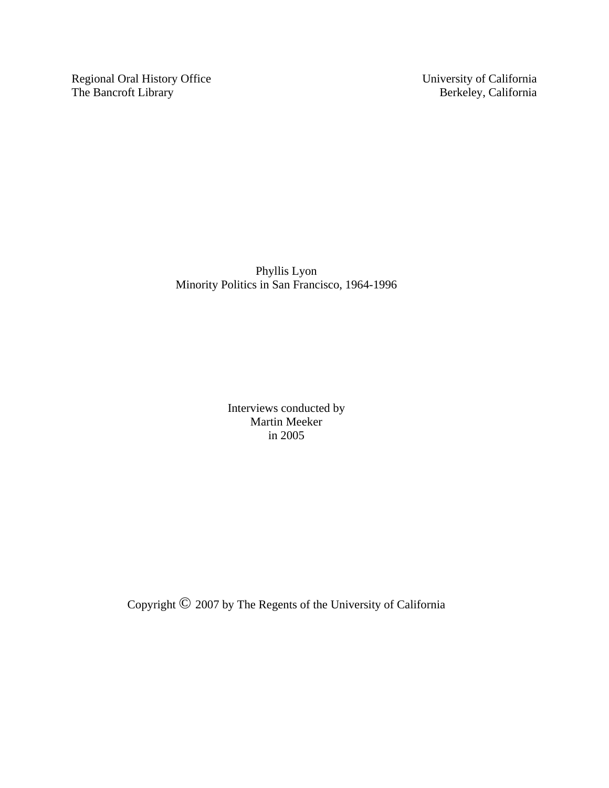Regional Oral History Office University of California<br>The Bancroft Library Berkeley, California The Bancroft Library

Phyllis Lyon Minority Politics in San Francisco, 1964-1996

> Interviews conducted by Martin Meeker in 2005

Copyright © 2007 by The Regents of the University of California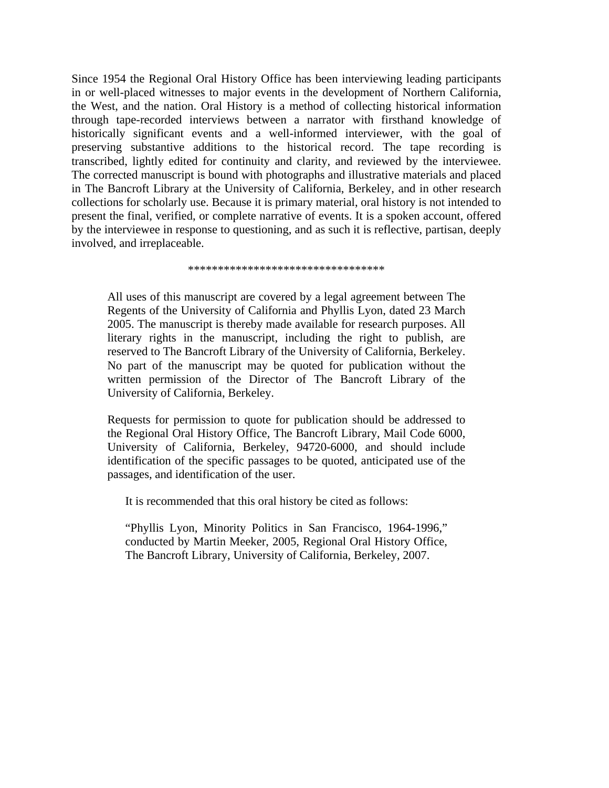Since 1954 the Regional Oral History Office has been interviewing leading participants in or well-placed witnesses to major events in the development of Northern California, the West, and the nation. Oral History is a method of collecting historical information through tape-recorded interviews between a narrator with firsthand knowledge of historically significant events and a well-informed interviewer, with the goal of preserving substantive additions to the historical record. The tape recording is transcribed, lightly edited for continuity and clarity, and reviewed by the interviewee. The corrected manuscript is bound with photographs and illustrative materials and placed in The Bancroft Library at the University of California, Berkeley, and in other research collections for scholarly use. Because it is primary material, oral history is not intended to present the final, verified, or complete narrative of events. It is a spoken account, offered by the interviewee in response to questioning, and as such it is reflective, partisan, deeply involved, and irreplaceable.

\*\*\*\*\*\*\*\*\*\*\*\*\*\*\*\*\*\*\*\*\*\*\*\*\*\*\*\*\*\*\*\*\*

All uses of this manuscript are covered by a legal agreement between The Regents of the University of California and Phyllis Lyon, dated 23 March 2005. The manuscript is thereby made available for research purposes. All literary rights in the manuscript, including the right to publish, are reserved to The Bancroft Library of the University of California, Berkeley. No part of the manuscript may be quoted for publication without the written permission of the Director of The Bancroft Library of the University of California, Berkeley.

Requests for permission to quote for publication should be addressed to the Regional Oral History Office, The Bancroft Library, Mail Code 6000, University of California, Berkeley, 94720-6000, and should include identification of the specific passages to be quoted, anticipated use of the passages, and identification of the user.

It is recommended that this oral history be cited as follows:

"Phyllis Lyon, Minority Politics in San Francisco, 1964-1996," conducted by Martin Meeker, 2005, Regional Oral History Office, The Bancroft Library, University of California, Berkeley, 2007.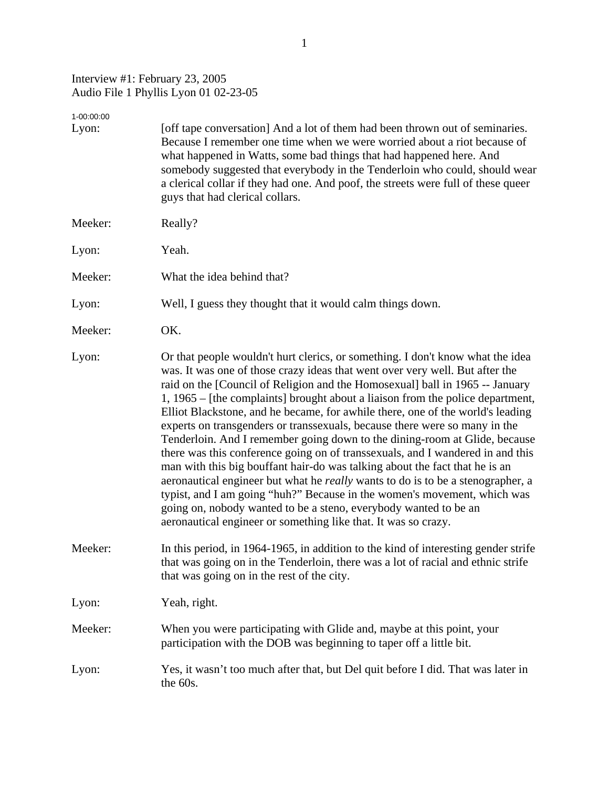## Interview #1: February 23, 2005 Audio File 1 Phyllis Lyon 01 02-23-05

| 1-00:00:00 |                                                                                                                                                                                                                                                                                                                                                                                                                                                                                                                                                                                                                                                                                                                                                                                                                                                                                                                                                                                                                                                      |
|------------|------------------------------------------------------------------------------------------------------------------------------------------------------------------------------------------------------------------------------------------------------------------------------------------------------------------------------------------------------------------------------------------------------------------------------------------------------------------------------------------------------------------------------------------------------------------------------------------------------------------------------------------------------------------------------------------------------------------------------------------------------------------------------------------------------------------------------------------------------------------------------------------------------------------------------------------------------------------------------------------------------------------------------------------------------|
| Lyon:      | [off tape conversation] And a lot of them had been thrown out of seminaries.<br>Because I remember one time when we were worried about a riot because of<br>what happened in Watts, some bad things that had happened here. And<br>somebody suggested that everybody in the Tenderloin who could, should wear<br>a clerical collar if they had one. And poof, the streets were full of these queer<br>guys that had clerical collars.                                                                                                                                                                                                                                                                                                                                                                                                                                                                                                                                                                                                                |
| Meeker:    | Really?                                                                                                                                                                                                                                                                                                                                                                                                                                                                                                                                                                                                                                                                                                                                                                                                                                                                                                                                                                                                                                              |
| Lyon:      | Yeah.                                                                                                                                                                                                                                                                                                                                                                                                                                                                                                                                                                                                                                                                                                                                                                                                                                                                                                                                                                                                                                                |
| Meeker:    | What the idea behind that?                                                                                                                                                                                                                                                                                                                                                                                                                                                                                                                                                                                                                                                                                                                                                                                                                                                                                                                                                                                                                           |
| Lyon:      | Well, I guess they thought that it would calm things down.                                                                                                                                                                                                                                                                                                                                                                                                                                                                                                                                                                                                                                                                                                                                                                                                                                                                                                                                                                                           |
| Meeker:    | OK.                                                                                                                                                                                                                                                                                                                                                                                                                                                                                                                                                                                                                                                                                                                                                                                                                                                                                                                                                                                                                                                  |
| Lyon:      | Or that people wouldn't hurt clerics, or something. I don't know what the idea<br>was. It was one of those crazy ideas that went over very well. But after the<br>raid on the [Council of Religion and the Homosexual] ball in 1965 -- January<br>1, 1965 – [the complaints] brought about a liaison from the police department,<br>Elliot Blackstone, and he became, for awhile there, one of the world's leading<br>experts on transgenders or transsexuals, because there were so many in the<br>Tenderloin. And I remember going down to the dining-room at Glide, because<br>there was this conference going on of transsexuals, and I wandered in and this<br>man with this big bouffant hair-do was talking about the fact that he is an<br>aeronautical engineer but what he really wants to do is to be a stenographer, a<br>typist, and I am going "huh?" Because in the women's movement, which was<br>going on, nobody wanted to be a steno, everybody wanted to be an<br>aeronautical engineer or something like that. It was so crazy. |
| Meeker:    | In this period, in 1964-1965, in addition to the kind of interesting gender strife<br>that was going on in the Tenderloin, there was a lot of racial and ethnic strife<br>that was going on in the rest of the city.                                                                                                                                                                                                                                                                                                                                                                                                                                                                                                                                                                                                                                                                                                                                                                                                                                 |
| Lyon:      | Yeah, right.                                                                                                                                                                                                                                                                                                                                                                                                                                                                                                                                                                                                                                                                                                                                                                                                                                                                                                                                                                                                                                         |
| Meeker:    | When you were participating with Glide and, maybe at this point, your<br>participation with the DOB was beginning to taper off a little bit.                                                                                                                                                                                                                                                                                                                                                                                                                                                                                                                                                                                                                                                                                                                                                                                                                                                                                                         |
| Lyon:      | Yes, it wasn't too much after that, but Del quit before I did. That was later in<br>the 60s.                                                                                                                                                                                                                                                                                                                                                                                                                                                                                                                                                                                                                                                                                                                                                                                                                                                                                                                                                         |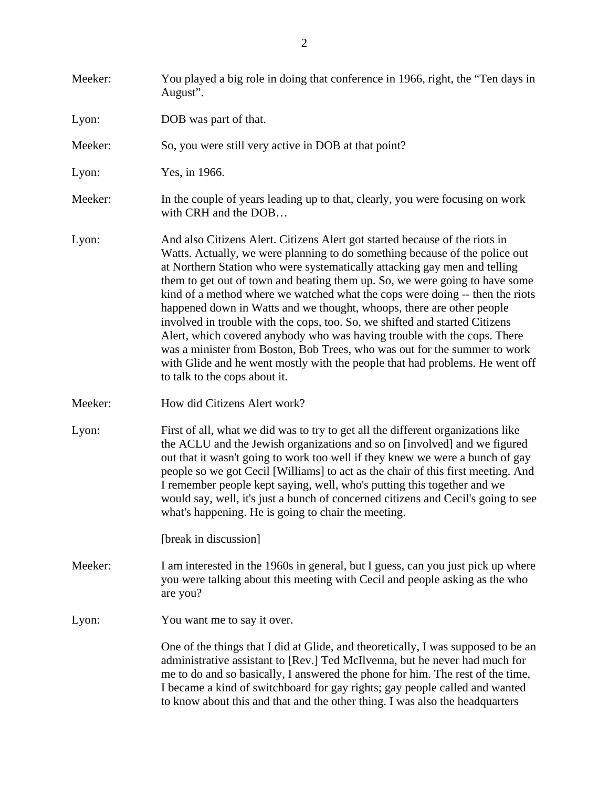| Meeker: | You played a big role in doing that conference in 1966, right, the "Ten days in<br>August".                                                                                                                                                                                                                                                                                                                                                                                                                                                                                                                                                                                                                                                                                                                                              |
|---------|------------------------------------------------------------------------------------------------------------------------------------------------------------------------------------------------------------------------------------------------------------------------------------------------------------------------------------------------------------------------------------------------------------------------------------------------------------------------------------------------------------------------------------------------------------------------------------------------------------------------------------------------------------------------------------------------------------------------------------------------------------------------------------------------------------------------------------------|
| Lyon:   | DOB was part of that.                                                                                                                                                                                                                                                                                                                                                                                                                                                                                                                                                                                                                                                                                                                                                                                                                    |
| Meeker: | So, you were still very active in DOB at that point?                                                                                                                                                                                                                                                                                                                                                                                                                                                                                                                                                                                                                                                                                                                                                                                     |
| Lyon:   | Yes, in 1966.                                                                                                                                                                                                                                                                                                                                                                                                                                                                                                                                                                                                                                                                                                                                                                                                                            |
| Meeker: | In the couple of years leading up to that, clearly, you were focusing on work<br>with CRH and the DOB                                                                                                                                                                                                                                                                                                                                                                                                                                                                                                                                                                                                                                                                                                                                    |
| Lyon:   | And also Citizens Alert. Citizens Alert got started because of the riots in<br>Watts. Actually, we were planning to do something because of the police out<br>at Northern Station who were systematically attacking gay men and telling<br>them to get out of town and beating them up. So, we were going to have some<br>kind of a method where we watched what the cops were doing -- then the riots<br>happened down in Watts and we thought, whoops, there are other people<br>involved in trouble with the cops, too. So, we shifted and started Citizens<br>Alert, which covered anybody who was having trouble with the cops. There<br>was a minister from Boston, Bob Trees, who was out for the summer to work<br>with Glide and he went mostly with the people that had problems. He went off<br>to talk to the cops about it. |
| Meeker: | How did Citizens Alert work?                                                                                                                                                                                                                                                                                                                                                                                                                                                                                                                                                                                                                                                                                                                                                                                                             |
| Lyon:   | First of all, what we did was to try to get all the different organizations like<br>the ACLU and the Jewish organizations and so on [involved] and we figured<br>out that it wasn't going to work too well if they knew we were a bunch of gay<br>people so we got Cecil [Williams] to act as the chair of this first meeting. And<br>I remember people kept saying, well, who's putting this together and we<br>would say, well, it's just a bunch of concerned citizens and Cecil's going to see<br>what's happening. He is going to chair the meeting.                                                                                                                                                                                                                                                                                |
|         | [break in discussion]                                                                                                                                                                                                                                                                                                                                                                                                                                                                                                                                                                                                                                                                                                                                                                                                                    |
| Meeker: | I am interested in the 1960s in general, but I guess, can you just pick up where<br>you were talking about this meeting with Cecil and people asking as the who<br>are you?                                                                                                                                                                                                                                                                                                                                                                                                                                                                                                                                                                                                                                                              |
| Lyon:   | You want me to say it over.                                                                                                                                                                                                                                                                                                                                                                                                                                                                                                                                                                                                                                                                                                                                                                                                              |
|         | One of the things that I did at Glide, and theoretically, I was supposed to be an<br>administrative assistant to [Rev.] Ted McIlvenna, but he never had much for<br>me to do and so basically, I answered the phone for him. The rest of the time,<br>I became a kind of switchboard for gay rights; gay people called and wanted<br>to know about this and that and the other thing. I was also the headquarters                                                                                                                                                                                                                                                                                                                                                                                                                        |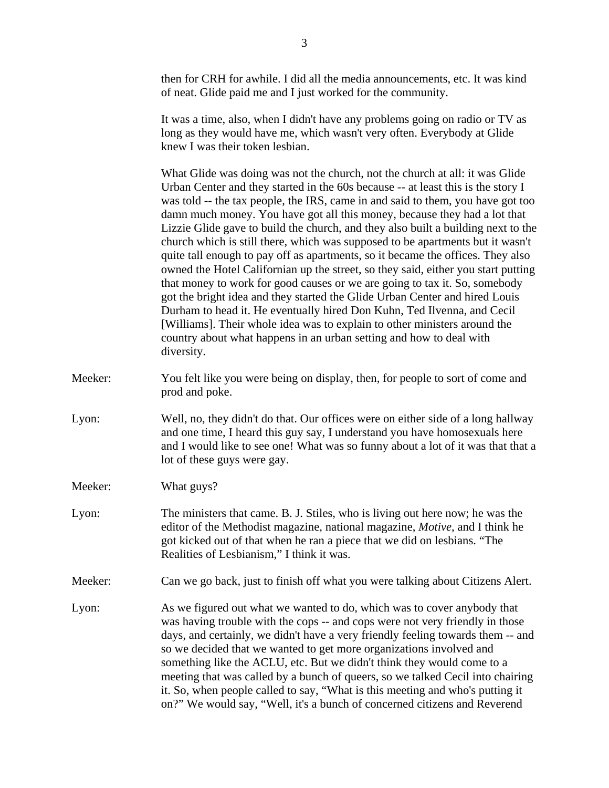then for CRH for awhile. I did all the media announcements, etc. It was kind of neat. Glide paid me and I just worked for the community.

It was a time, also, when I didn't have any problems going on radio or TV as long as they would have me, which wasn't very often. Everybody at Glide knew I was their token lesbian.

What Glide was doing was not the church, not the church at all: it was Glide Urban Center and they started in the 60s because -- at least this is the story I was told -- the tax people, the IRS, came in and said to them, you have got too damn much money. You have got all this money, because they had a lot that Lizzie Glide gave to build the church, and they also built a building next to the church which is still there, which was supposed to be apartments but it wasn't quite tall enough to pay off as apartments, so it became the offices. They also owned the Hotel Californian up the street, so they said, either you start putting that money to work for good causes or we are going to tax it. So, somebody got the bright idea and they started the Glide Urban Center and hired Louis Durham to head it. He eventually hired Don Kuhn, Ted Ilvenna, and Cecil [Williams]. Their whole idea was to explain to other ministers around the country about what happens in an urban setting and how to deal with diversity.

- Meeker: You felt like you were being on display, then, for people to sort of come and prod and poke.
- Lyon: Well, no, they didn't do that. Our offices were on either side of a long hallway and one time, I heard this guy say, I understand you have homosexuals here and I would like to see one! What was so funny about a lot of it was that that a lot of these guys were gay.
- Meeker: What guys?
- Lyon: The ministers that came. B. J. Stiles, who is living out here now; he was the editor of the Methodist magazine, national magazine, *Motive*, and I think he got kicked out of that when he ran a piece that we did on lesbians. "The Realities of Lesbianism," I think it was.
- Meeker: Can we go back, just to finish off what you were talking about Citizens Alert.
- Lyon: As we figured out what we wanted to do, which was to cover anybody that was having trouble with the cops -- and cops were not very friendly in those days, and certainly, we didn't have a very friendly feeling towards them -- and so we decided that we wanted to get more organizations involved and something like the ACLU, etc. But we didn't think they would come to a meeting that was called by a bunch of queers, so we talked Cecil into chairing it. So, when people called to say, "What is this meeting and who's putting it on?" We would say, "Well, it's a bunch of concerned citizens and Reverend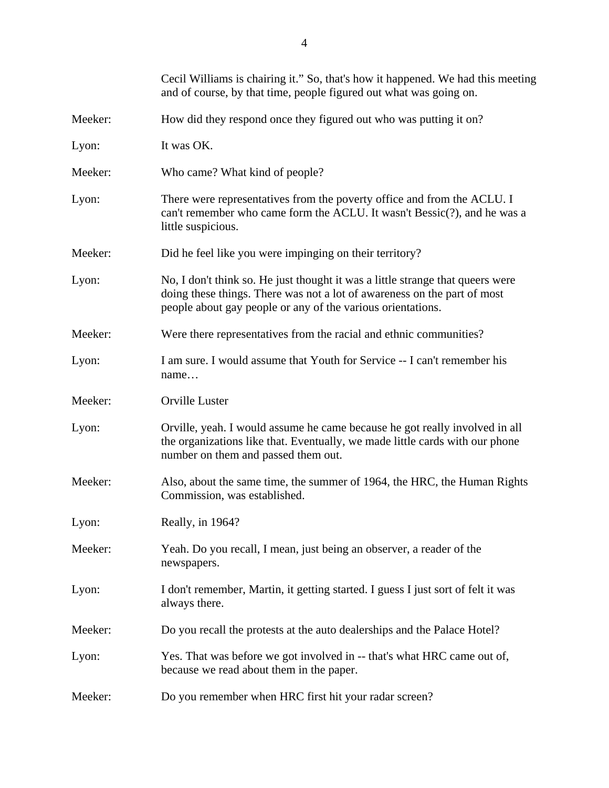|         | Cecil Williams is chairing it." So, that's how it happened. We had this meeting<br>and of course, by that time, people figured out what was going on.                                                                     |
|---------|---------------------------------------------------------------------------------------------------------------------------------------------------------------------------------------------------------------------------|
| Meeker: | How did they respond once they figured out who was putting it on?                                                                                                                                                         |
| Lyon:   | It was OK.                                                                                                                                                                                                                |
| Meeker: | Who came? What kind of people?                                                                                                                                                                                            |
| Lyon:   | There were representatives from the poverty office and from the ACLU. I<br>can't remember who came form the ACLU. It wasn't Bessic(?), and he was a<br>little suspicious.                                                 |
| Meeker: | Did he feel like you were impinging on their territory?                                                                                                                                                                   |
| Lyon:   | No, I don't think so. He just thought it was a little strange that queers were<br>doing these things. There was not a lot of awareness on the part of most<br>people about gay people or any of the various orientations. |
| Meeker: | Were there representatives from the racial and ethnic communities?                                                                                                                                                        |
| Lyon:   | I am sure. I would assume that Youth for Service -- I can't remember his<br>name                                                                                                                                          |
| Meeker: | Orville Luster                                                                                                                                                                                                            |
| Lyon:   | Orville, yeah. I would assume he came because he got really involved in all<br>the organizations like that. Eventually, we made little cards with our phone<br>number on them and passed them out.                        |
| Meeker: | Also, about the same time, the summer of 1964, the HRC, the Human Rights<br>Commission, was established.                                                                                                                  |
| Lyon:   | Really, in 1964?                                                                                                                                                                                                          |
| Meeker: | Yeah. Do you recall, I mean, just being an observer, a reader of the<br>newspapers.                                                                                                                                       |
| Lyon:   | I don't remember, Martin, it getting started. I guess I just sort of felt it was<br>always there.                                                                                                                         |
| Meeker: | Do you recall the protests at the auto dealerships and the Palace Hotel?                                                                                                                                                  |
| Lyon:   | Yes. That was before we got involved in -- that's what HRC came out of,<br>because we read about them in the paper.                                                                                                       |
| Meeker: | Do you remember when HRC first hit your radar screen?                                                                                                                                                                     |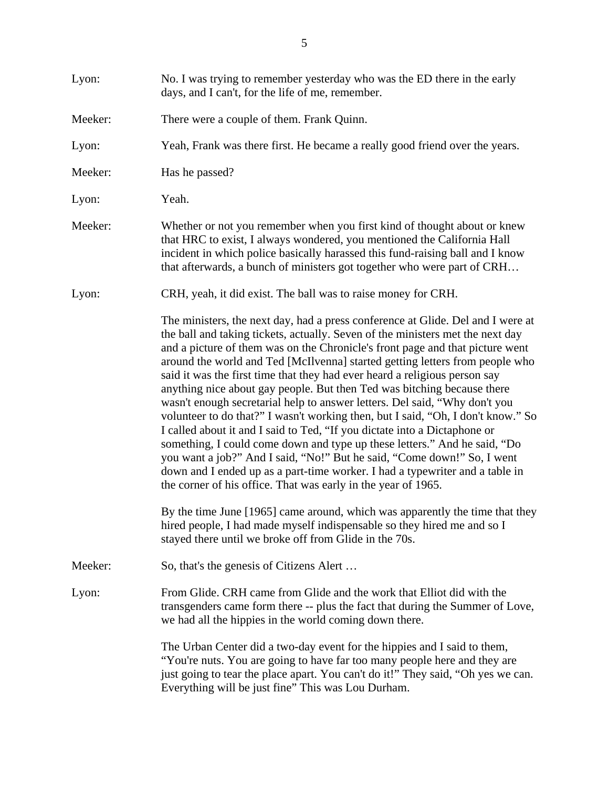| Lyon:   | No. I was trying to remember yesterday who was the ED there in the early<br>days, and I can't, for the life of me, remember.                                                                                                                                                                                                                                                                                                                                                                                                                                                                                                                                                                                                                                                                                                                                                                                                                                                                                                                                                                                                                                                                                                                                             |
|---------|--------------------------------------------------------------------------------------------------------------------------------------------------------------------------------------------------------------------------------------------------------------------------------------------------------------------------------------------------------------------------------------------------------------------------------------------------------------------------------------------------------------------------------------------------------------------------------------------------------------------------------------------------------------------------------------------------------------------------------------------------------------------------------------------------------------------------------------------------------------------------------------------------------------------------------------------------------------------------------------------------------------------------------------------------------------------------------------------------------------------------------------------------------------------------------------------------------------------------------------------------------------------------|
| Meeker: | There were a couple of them. Frank Quinn.                                                                                                                                                                                                                                                                                                                                                                                                                                                                                                                                                                                                                                                                                                                                                                                                                                                                                                                                                                                                                                                                                                                                                                                                                                |
| Lyon:   | Yeah, Frank was there first. He became a really good friend over the years.                                                                                                                                                                                                                                                                                                                                                                                                                                                                                                                                                                                                                                                                                                                                                                                                                                                                                                                                                                                                                                                                                                                                                                                              |
| Meeker: | Has he passed?                                                                                                                                                                                                                                                                                                                                                                                                                                                                                                                                                                                                                                                                                                                                                                                                                                                                                                                                                                                                                                                                                                                                                                                                                                                           |
| Lyon:   | Yeah.                                                                                                                                                                                                                                                                                                                                                                                                                                                                                                                                                                                                                                                                                                                                                                                                                                                                                                                                                                                                                                                                                                                                                                                                                                                                    |
| Meeker: | Whether or not you remember when you first kind of thought about or knew<br>that HRC to exist, I always wondered, you mentioned the California Hall<br>incident in which police basically harassed this fund-raising ball and I know<br>that afterwards, a bunch of ministers got together who were part of CRH                                                                                                                                                                                                                                                                                                                                                                                                                                                                                                                                                                                                                                                                                                                                                                                                                                                                                                                                                          |
| Lyon:   | CRH, yeah, it did exist. The ball was to raise money for CRH.                                                                                                                                                                                                                                                                                                                                                                                                                                                                                                                                                                                                                                                                                                                                                                                                                                                                                                                                                                                                                                                                                                                                                                                                            |
|         | The ministers, the next day, had a press conference at Glide. Del and I were at<br>the ball and taking tickets, actually. Seven of the ministers met the next day<br>and a picture of them was on the Chronicle's front page and that picture went<br>around the world and Ted [McIlvenna] started getting letters from people who<br>said it was the first time that they had ever heard a religious person say<br>anything nice about gay people. But then Ted was bitching because there<br>wasn't enough secretarial help to answer letters. Del said, "Why don't you<br>volunteer to do that?" I wasn't working then, but I said, "Oh, I don't know." So<br>I called about it and I said to Ted, "If you dictate into a Dictaphone or<br>something, I could come down and type up these letters." And he said, "Do<br>you want a job?" And I said, "No!" But he said, "Come down!" So, I went<br>down and I ended up as a part-time worker. I had a typewriter and a table in<br>the corner of his office. That was early in the year of 1965.<br>By the time June [1965] came around, which was apparently the time that they<br>hired people, I had made myself indispensable so they hired me and so I<br>stayed there until we broke off from Glide in the 70s. |
| Meeker: | So, that's the genesis of Citizens Alert                                                                                                                                                                                                                                                                                                                                                                                                                                                                                                                                                                                                                                                                                                                                                                                                                                                                                                                                                                                                                                                                                                                                                                                                                                 |
| Lyon:   | From Glide. CRH came from Glide and the work that Elliot did with the<br>transgenders came form there -- plus the fact that during the Summer of Love,<br>we had all the hippies in the world coming down there.                                                                                                                                                                                                                                                                                                                                                                                                                                                                                                                                                                                                                                                                                                                                                                                                                                                                                                                                                                                                                                                         |
|         | The Urban Center did a two-day event for the hippies and I said to them,<br>"You're nuts. You are going to have far too many people here and they are<br>just going to tear the place apart. You can't do it!" They said, "Oh yes we can.<br>Everything will be just fine" This was Lou Durham.                                                                                                                                                                                                                                                                                                                                                                                                                                                                                                                                                                                                                                                                                                                                                                                                                                                                                                                                                                          |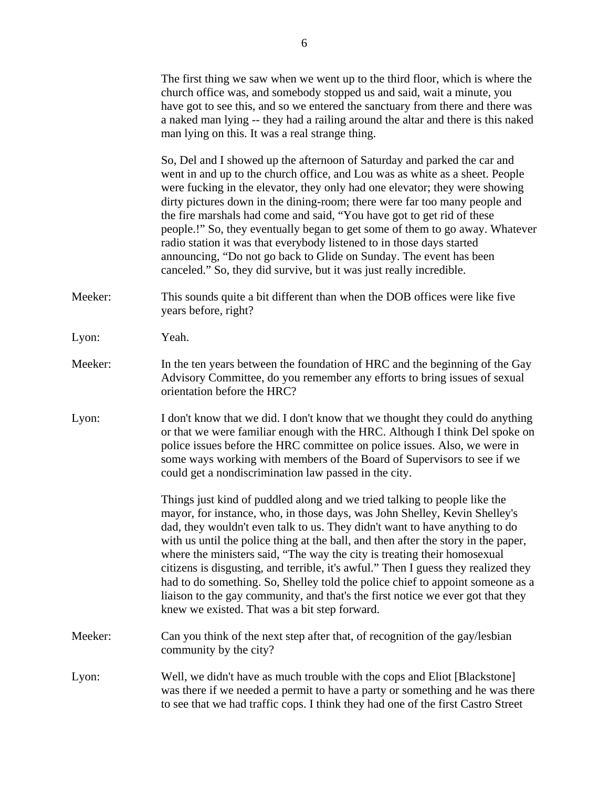|         | The first thing we saw when we went up to the third floor, which is where the<br>church office was, and somebody stopped us and said, wait a minute, you<br>have got to see this, and so we entered the sanctuary from there and there was<br>a naked man lying -- they had a railing around the altar and there is this naked<br>man lying on this. It was a real strange thing.                                                                                                                                                                                                                                                                                                                                    |
|---------|----------------------------------------------------------------------------------------------------------------------------------------------------------------------------------------------------------------------------------------------------------------------------------------------------------------------------------------------------------------------------------------------------------------------------------------------------------------------------------------------------------------------------------------------------------------------------------------------------------------------------------------------------------------------------------------------------------------------|
|         | So, Del and I showed up the afternoon of Saturday and parked the car and<br>went in and up to the church office, and Lou was as white as a sheet. People<br>were fucking in the elevator, they only had one elevator; they were showing<br>dirty pictures down in the dining-room; there were far too many people and<br>the fire marshals had come and said, "You have got to get rid of these<br>people.!" So, they eventually began to get some of them to go away. Whatever<br>radio station it was that everybody listened to in those days started<br>announcing, "Do not go back to Glide on Sunday. The event has been<br>canceled." So, they did survive, but it was just really incredible.                |
| Meeker: | This sounds quite a bit different than when the DOB offices were like five<br>years before, right?                                                                                                                                                                                                                                                                                                                                                                                                                                                                                                                                                                                                                   |
| Lyon:   | Yeah.                                                                                                                                                                                                                                                                                                                                                                                                                                                                                                                                                                                                                                                                                                                |
| Meeker: | In the ten years between the foundation of HRC and the beginning of the Gay<br>Advisory Committee, do you remember any efforts to bring issues of sexual<br>orientation before the HRC?                                                                                                                                                                                                                                                                                                                                                                                                                                                                                                                              |
| Lyon:   | I don't know that we did. I don't know that we thought they could do anything<br>or that we were familiar enough with the HRC. Although I think Del spoke on<br>police issues before the HRC committee on police issues. Also, we were in<br>some ways working with members of the Board of Supervisors to see if we<br>could get a nondiscrimination law passed in the city.                                                                                                                                                                                                                                                                                                                                        |
|         | Things just kind of puddled along and we tried talking to people like the<br>mayor, for instance, who, in those days, was John Shelley, Kevin Shelley's<br>dad, they wouldn't even talk to us. They didn't want to have anything to do<br>with us until the police thing at the ball, and then after the story in the paper,<br>where the ministers said, "The way the city is treating their homosexual<br>citizens is disgusting, and terrible, it's awful." Then I guess they realized they<br>had to do something. So, Shelley told the police chief to appoint someone as a<br>liaison to the gay community, and that's the first notice we ever got that they<br>knew we existed. That was a bit step forward. |
| Meeker: | Can you think of the next step after that, of recognition of the gay/lesbian<br>community by the city?                                                                                                                                                                                                                                                                                                                                                                                                                                                                                                                                                                                                               |
| Lyon:   | Well, we didn't have as much trouble with the cops and Eliot [Blackstone]<br>was there if we needed a permit to have a party or something and he was there<br>to see that we had traffic cops. I think they had one of the first Castro Street                                                                                                                                                                                                                                                                                                                                                                                                                                                                       |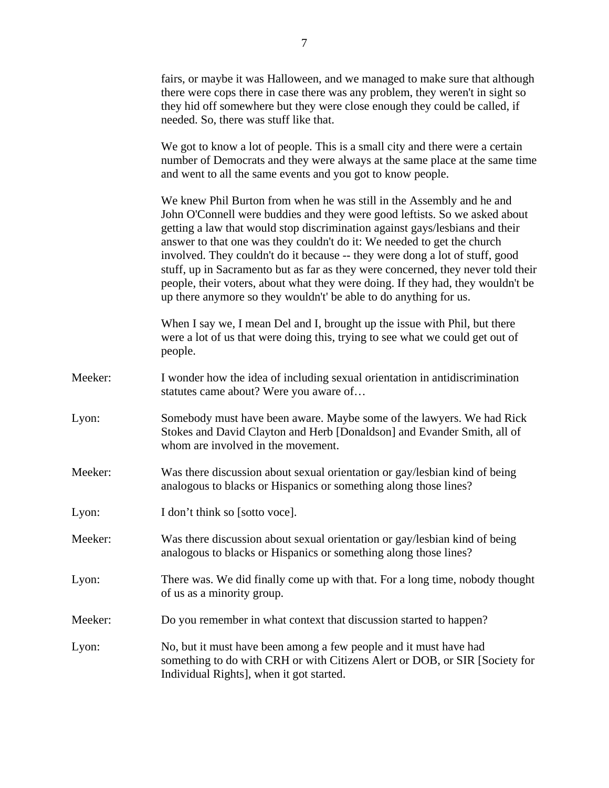|         | fairs, or maybe it was Halloween, and we managed to make sure that although<br>there were cops there in case there was any problem, they weren't in sight so<br>they hid off somewhere but they were close enough they could be called, if<br>needed. So, there was stuff like that.                                                                                                                                                                                                                                                                                                                                                       |
|---------|--------------------------------------------------------------------------------------------------------------------------------------------------------------------------------------------------------------------------------------------------------------------------------------------------------------------------------------------------------------------------------------------------------------------------------------------------------------------------------------------------------------------------------------------------------------------------------------------------------------------------------------------|
|         | We got to know a lot of people. This is a small city and there were a certain<br>number of Democrats and they were always at the same place at the same time<br>and went to all the same events and you got to know people.                                                                                                                                                                                                                                                                                                                                                                                                                |
|         | We knew Phil Burton from when he was still in the Assembly and he and<br>John O'Connell were buddies and they were good leftists. So we asked about<br>getting a law that would stop discrimination against gays/lesbians and their<br>answer to that one was they couldn't do it: We needed to get the church<br>involved. They couldn't do it because -- they were dong a lot of stuff, good<br>stuff, up in Sacramento but as far as they were concerned, they never told their<br>people, their voters, about what they were doing. If they had, they wouldn't be<br>up there anymore so they wouldn't' be able to do anything for us. |
|         | When I say we, I mean Del and I, brought up the issue with Phil, but there<br>were a lot of us that were doing this, trying to see what we could get out of<br>people.                                                                                                                                                                                                                                                                                                                                                                                                                                                                     |
| Meeker: | I wonder how the idea of including sexual orientation in antidiscrimination<br>statutes came about? Were you aware of                                                                                                                                                                                                                                                                                                                                                                                                                                                                                                                      |
| Lyon:   | Somebody must have been aware. Maybe some of the lawyers. We had Rick<br>Stokes and David Clayton and Herb [Donaldson] and Evander Smith, all of<br>whom are involved in the movement.                                                                                                                                                                                                                                                                                                                                                                                                                                                     |
| Meeker: | Was there discussion about sexual orientation or gay/lesbian kind of being<br>analogous to blacks or Hispanics or something along those lines?                                                                                                                                                                                                                                                                                                                                                                                                                                                                                             |
| Lyon:   | I don't think so [sotto voce].                                                                                                                                                                                                                                                                                                                                                                                                                                                                                                                                                                                                             |
| Meeker: | Was there discussion about sexual orientation or gay/lesbian kind of being<br>analogous to blacks or Hispanics or something along those lines?                                                                                                                                                                                                                                                                                                                                                                                                                                                                                             |
| Lyon:   | There was. We did finally come up with that. For a long time, nobody thought<br>of us as a minority group.                                                                                                                                                                                                                                                                                                                                                                                                                                                                                                                                 |
| Meeker: | Do you remember in what context that discussion started to happen?                                                                                                                                                                                                                                                                                                                                                                                                                                                                                                                                                                         |
| Lyon:   | No, but it must have been among a few people and it must have had<br>something to do with CRH or with Citizens Alert or DOB, or SIR [Society for<br>Individual Rights], when it got started.                                                                                                                                                                                                                                                                                                                                                                                                                                               |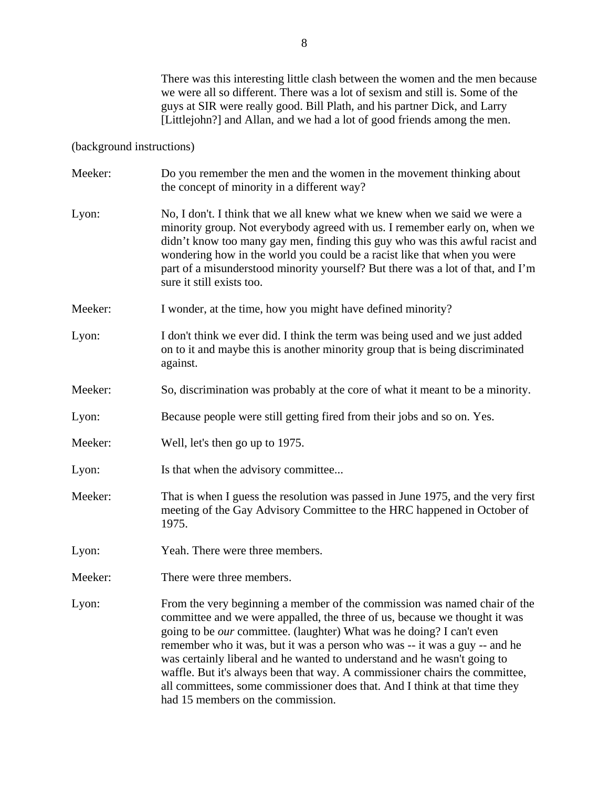There was this interesting little clash between the women and the men because we were all so different. There was a lot of sexism and still is. Some of the guys at SIR were really good. Bill Plath, and his partner Dick, and Larry [Littlejohn?] and Allan, and we had a lot of good friends among the men.

## (background instructions)

| Meeker: | Do you remember the men and the women in the movement thinking about<br>the concept of minority in a different way?                                                                                                                                                                                                                                                                                                                                                                                                                                                                          |
|---------|----------------------------------------------------------------------------------------------------------------------------------------------------------------------------------------------------------------------------------------------------------------------------------------------------------------------------------------------------------------------------------------------------------------------------------------------------------------------------------------------------------------------------------------------------------------------------------------------|
| Lyon:   | No, I don't. I think that we all knew what we knew when we said we were a<br>minority group. Not everybody agreed with us. I remember early on, when we<br>didn't know too many gay men, finding this guy who was this awful racist and<br>wondering how in the world you could be a racist like that when you were<br>part of a misunderstood minority yourself? But there was a lot of that, and I'm<br>sure it still exists too.                                                                                                                                                          |
| Meeker: | I wonder, at the time, how you might have defined minority?                                                                                                                                                                                                                                                                                                                                                                                                                                                                                                                                  |
| Lyon:   | I don't think we ever did. I think the term was being used and we just added<br>on to it and maybe this is another minority group that is being discriminated<br>against.                                                                                                                                                                                                                                                                                                                                                                                                                    |
| Meeker: | So, discrimination was probably at the core of what it meant to be a minority.                                                                                                                                                                                                                                                                                                                                                                                                                                                                                                               |
| Lyon:   | Because people were still getting fired from their jobs and so on. Yes.                                                                                                                                                                                                                                                                                                                                                                                                                                                                                                                      |
| Meeker: | Well, let's then go up to 1975.                                                                                                                                                                                                                                                                                                                                                                                                                                                                                                                                                              |
| Lyon:   | Is that when the advisory committee                                                                                                                                                                                                                                                                                                                                                                                                                                                                                                                                                          |
| Meeker: | That is when I guess the resolution was passed in June 1975, and the very first<br>meeting of the Gay Advisory Committee to the HRC happened in October of<br>1975.                                                                                                                                                                                                                                                                                                                                                                                                                          |
| Lyon:   | Yeah. There were three members.                                                                                                                                                                                                                                                                                                                                                                                                                                                                                                                                                              |
| Meeker: | There were three members.                                                                                                                                                                                                                                                                                                                                                                                                                                                                                                                                                                    |
| Lyon:   | From the very beginning a member of the commission was named chair of the<br>committee and we were appalled, the three of us, because we thought it was<br>going to be our committee. (laughter) What was he doing? I can't even<br>remember who it was, but it was a person who was -- it was a guy -- and he<br>was certainly liberal and he wanted to understand and he wasn't going to<br>waffle. But it's always been that way. A commissioner chairs the committee,<br>all committees, some commissioner does that. And I think at that time they<br>had 15 members on the commission. |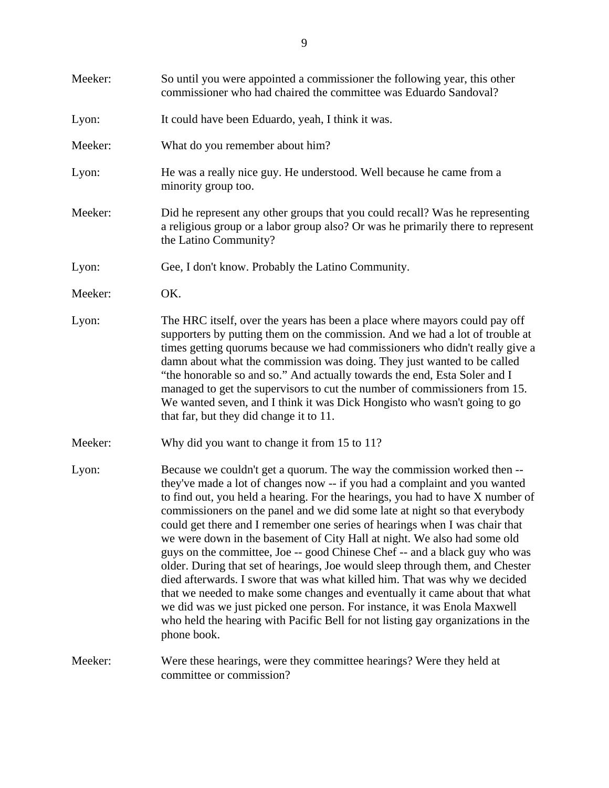| Meeker: | So until you were appointed a commissioner the following year, this other<br>commissioner who had chaired the committee was Eduardo Sandoval?                                                                                                                                                                                                                                                                                                                                                                                                                                                                                                                                                                                                                                                                                                                                                                                                                                             |
|---------|-------------------------------------------------------------------------------------------------------------------------------------------------------------------------------------------------------------------------------------------------------------------------------------------------------------------------------------------------------------------------------------------------------------------------------------------------------------------------------------------------------------------------------------------------------------------------------------------------------------------------------------------------------------------------------------------------------------------------------------------------------------------------------------------------------------------------------------------------------------------------------------------------------------------------------------------------------------------------------------------|
| Lyon:   | It could have been Eduardo, yeah, I think it was.                                                                                                                                                                                                                                                                                                                                                                                                                                                                                                                                                                                                                                                                                                                                                                                                                                                                                                                                         |
| Meeker: | What do you remember about him?                                                                                                                                                                                                                                                                                                                                                                                                                                                                                                                                                                                                                                                                                                                                                                                                                                                                                                                                                           |
| Lyon:   | He was a really nice guy. He understood. Well because he came from a<br>minority group too.                                                                                                                                                                                                                                                                                                                                                                                                                                                                                                                                                                                                                                                                                                                                                                                                                                                                                               |
| Meeker: | Did he represent any other groups that you could recall? Was he representing<br>a religious group or a labor group also? Or was he primarily there to represent<br>the Latino Community?                                                                                                                                                                                                                                                                                                                                                                                                                                                                                                                                                                                                                                                                                                                                                                                                  |
| Lyon:   | Gee, I don't know. Probably the Latino Community.                                                                                                                                                                                                                                                                                                                                                                                                                                                                                                                                                                                                                                                                                                                                                                                                                                                                                                                                         |
| Meeker: | OK.                                                                                                                                                                                                                                                                                                                                                                                                                                                                                                                                                                                                                                                                                                                                                                                                                                                                                                                                                                                       |
| Lyon:   | The HRC itself, over the years has been a place where mayors could pay off<br>supporters by putting them on the commission. And we had a lot of trouble at<br>times getting quorums because we had commissioners who didn't really give a<br>damn about what the commission was doing. They just wanted to be called<br>"the honorable so and so." And actually towards the end, Esta Soler and I<br>managed to get the supervisors to cut the number of commissioners from 15.<br>We wanted seven, and I think it was Dick Hongisto who wasn't going to go<br>that far, but they did change it to 11.                                                                                                                                                                                                                                                                                                                                                                                    |
| Meeker: | Why did you want to change it from 15 to 11?                                                                                                                                                                                                                                                                                                                                                                                                                                                                                                                                                                                                                                                                                                                                                                                                                                                                                                                                              |
| Lyon:   | Because we couldn't get a quorum. The way the commission worked then --<br>they've made a lot of changes now -- if you had a complaint and you wanted<br>to find out, you held a hearing. For the hearings, you had to have X number of<br>commissioners on the panel and we did some late at night so that everybody<br>could get there and I remember one series of hearings when I was chair that<br>we were down in the basement of City Hall at night. We also had some old<br>guys on the committee, Joe -- good Chinese Chef -- and a black guy who was<br>older. During that set of hearings, Joe would sleep through them, and Chester<br>died afterwards. I swore that was what killed him. That was why we decided<br>that we needed to make some changes and eventually it came about that what<br>we did was we just picked one person. For instance, it was Enola Maxwell<br>who held the hearing with Pacific Bell for not listing gay organizations in the<br>phone book. |
| Meeker: | Were these hearings, were they committee hearings? Were they held at<br>committee or commission?                                                                                                                                                                                                                                                                                                                                                                                                                                                                                                                                                                                                                                                                                                                                                                                                                                                                                          |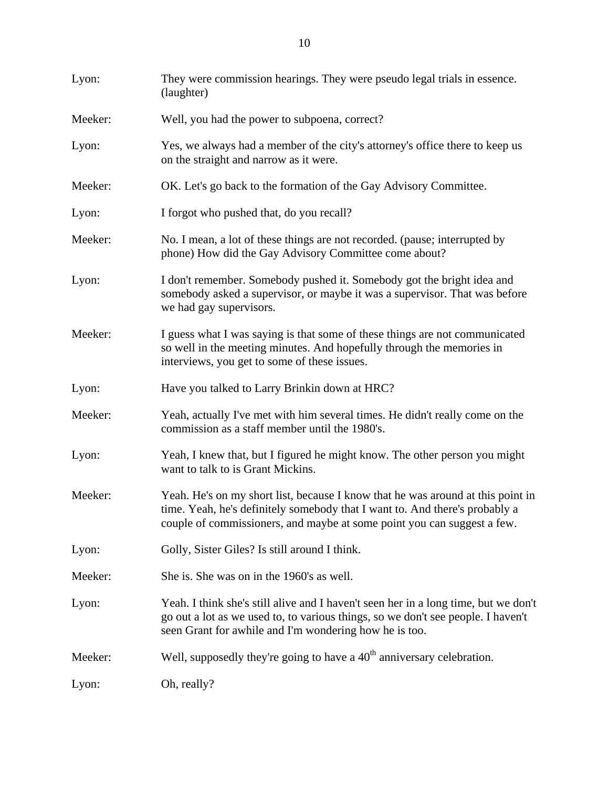| Lyon:   | They were commission hearings. They were pseudo legal trials in essence.<br>(laughter)                                                                                                                                                    |
|---------|-------------------------------------------------------------------------------------------------------------------------------------------------------------------------------------------------------------------------------------------|
| Meeker: | Well, you had the power to subpoena, correct?                                                                                                                                                                                             |
| Lyon:   | Yes, we always had a member of the city's attorney's office there to keep us<br>on the straight and narrow as it were.                                                                                                                    |
| Meeker: | OK. Let's go back to the formation of the Gay Advisory Committee.                                                                                                                                                                         |
| Lyon:   | I forgot who pushed that, do you recall?                                                                                                                                                                                                  |
| Meeker: | No. I mean, a lot of these things are not recorded. (pause; interrupted by<br>phone) How did the Gay Advisory Committee come about?                                                                                                       |
| Lyon:   | I don't remember. Somebody pushed it. Somebody got the bright idea and<br>somebody asked a supervisor, or maybe it was a supervisor. That was before<br>we had gay supervisors.                                                           |
| Meeker: | I guess what I was saying is that some of these things are not communicated<br>so well in the meeting minutes. And hopefully through the memories in<br>interviews, you get to some of these issues.                                      |
| Lyon:   | Have you talked to Larry Brinkin down at HRC?                                                                                                                                                                                             |
| Meeker: | Yeah, actually I've met with him several times. He didn't really come on the<br>commission as a staff member until the 1980's.                                                                                                            |
| Lyon:   | Yeah, I knew that, but I figured he might know. The other person you might<br>want to talk to is Grant Mickins.                                                                                                                           |
| Meeker: | Yeah. He's on my short list, because I know that he was around at this point in<br>time. Yeah, he's definitely somebody that I want to. And there's probably a<br>couple of commissioners, and maybe at some point you can suggest a few. |
| Lyon:   | Golly, Sister Giles? Is still around I think.                                                                                                                                                                                             |
| Meeker: | She is. She was on in the 1960's as well.                                                                                                                                                                                                 |
| Lyon:   | Yeah. I think she's still alive and I haven't seen her in a long time, but we don't<br>go out a lot as we used to, to various things, so we don't see people. I haven't<br>seen Grant for awhile and I'm wondering how he is too.         |
| Meeker: | Well, supposedly they're going to have a $40th$ anniversary celebration.                                                                                                                                                                  |
| Lyon:   | Oh, really?                                                                                                                                                                                                                               |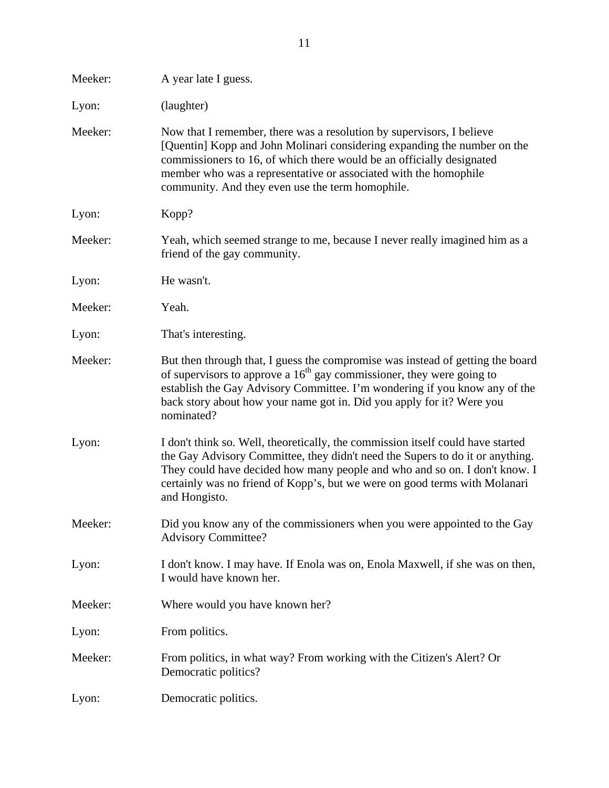| Meeker: | A year late I guess.                                                                                                                                                                                                                                                                                                                               |
|---------|----------------------------------------------------------------------------------------------------------------------------------------------------------------------------------------------------------------------------------------------------------------------------------------------------------------------------------------------------|
| Lyon:   | (laughter)                                                                                                                                                                                                                                                                                                                                         |
| Meeker: | Now that I remember, there was a resolution by supervisors, I believe<br>[Quentin] Kopp and John Molinari considering expanding the number on the<br>commissioners to 16, of which there would be an officially designated<br>member who was a representative or associated with the homophile<br>community. And they even use the term homophile. |
| Lyon:   | Kopp?                                                                                                                                                                                                                                                                                                                                              |
| Meeker: | Yeah, which seemed strange to me, because I never really imagined him as a<br>friend of the gay community.                                                                                                                                                                                                                                         |
| Lyon:   | He wasn't.                                                                                                                                                                                                                                                                                                                                         |
| Meeker: | Yeah.                                                                                                                                                                                                                                                                                                                                              |
| Lyon:   | That's interesting.                                                                                                                                                                                                                                                                                                                                |
| Meeker: | But then through that, I guess the compromise was instead of getting the board<br>of supervisors to approve a $16th$ gay commissioner, they were going to<br>establish the Gay Advisory Committee. I'm wondering if you know any of the<br>back story about how your name got in. Did you apply for it? Were you<br>nominated?                     |
| Lyon:   | I don't think so. Well, theoretically, the commission itself could have started<br>the Gay Advisory Committee, they didn't need the Supers to do it or anything.<br>They could have decided how many people and who and so on. I don't know. I<br>certainly was no friend of Kopp's, but we were on good terms with Molanari<br>and Hongisto.      |
| Meeker: | Did you know any of the commissioners when you were appointed to the Gay<br><b>Advisory Committee?</b>                                                                                                                                                                                                                                             |
| Lyon:   | I don't know. I may have. If Enola was on, Enola Maxwell, if she was on then,<br>I would have known her.                                                                                                                                                                                                                                           |
| Meeker: | Where would you have known her?                                                                                                                                                                                                                                                                                                                    |
| Lyon:   | From politics.                                                                                                                                                                                                                                                                                                                                     |
| Meeker: | From politics, in what way? From working with the Citizen's Alert? Or<br>Democratic politics?                                                                                                                                                                                                                                                      |
| Lyon:   | Democratic politics.                                                                                                                                                                                                                                                                                                                               |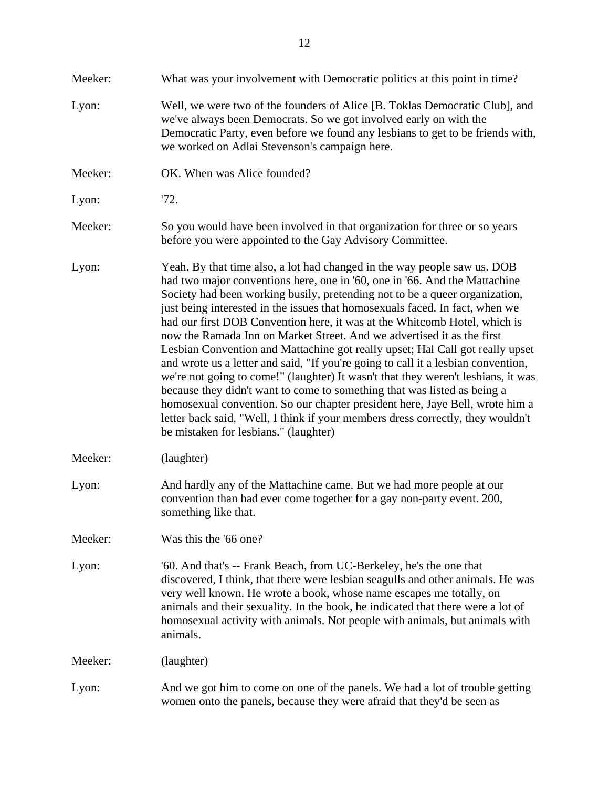| Meeker: | What was your involvement with Democratic politics at this point in time?                                                                                                                                                                                                                                                                                                                                                                                                                                                                                                                                                                                                                                                                                                                                                                                                                                                                                                                                                       |
|---------|---------------------------------------------------------------------------------------------------------------------------------------------------------------------------------------------------------------------------------------------------------------------------------------------------------------------------------------------------------------------------------------------------------------------------------------------------------------------------------------------------------------------------------------------------------------------------------------------------------------------------------------------------------------------------------------------------------------------------------------------------------------------------------------------------------------------------------------------------------------------------------------------------------------------------------------------------------------------------------------------------------------------------------|
| Lyon:   | Well, we were two of the founders of Alice [B. Toklas Democratic Club], and<br>we've always been Democrats. So we got involved early on with the<br>Democratic Party, even before we found any lesbians to get to be friends with,<br>we worked on Adlai Stevenson's campaign here.                                                                                                                                                                                                                                                                                                                                                                                                                                                                                                                                                                                                                                                                                                                                             |
| Meeker: | OK. When was Alice founded?                                                                                                                                                                                                                                                                                                                                                                                                                                                                                                                                                                                                                                                                                                                                                                                                                                                                                                                                                                                                     |
| Lyon:   | 72.                                                                                                                                                                                                                                                                                                                                                                                                                                                                                                                                                                                                                                                                                                                                                                                                                                                                                                                                                                                                                             |
| Meeker: | So you would have been involved in that organization for three or so years<br>before you were appointed to the Gay Advisory Committee.                                                                                                                                                                                                                                                                                                                                                                                                                                                                                                                                                                                                                                                                                                                                                                                                                                                                                          |
| Lyon:   | Yeah. By that time also, a lot had changed in the way people saw us. DOB<br>had two major conventions here, one in '60, one in '66. And the Mattachine<br>Society had been working busily, pretending not to be a queer organization,<br>just being interested in the issues that homosexuals faced. In fact, when we<br>had our first DOB Convention here, it was at the Whitcomb Hotel, which is<br>now the Ramada Inn on Market Street. And we advertised it as the first<br>Lesbian Convention and Mattachine got really upset; Hal Call got really upset<br>and wrote us a letter and said, "If you're going to call it a lesbian convention,<br>we're not going to come!" (laughter) It wasn't that they weren't lesbians, it was<br>because they didn't want to come to something that was listed as being a<br>homosexual convention. So our chapter president here, Jaye Bell, wrote him a<br>letter back said, "Well, I think if your members dress correctly, they wouldn't<br>be mistaken for lesbians." (laughter) |
| Meeker: | (laughter)                                                                                                                                                                                                                                                                                                                                                                                                                                                                                                                                                                                                                                                                                                                                                                                                                                                                                                                                                                                                                      |
| Lyon:   | And hardly any of the Mattachine came. But we had more people at our<br>convention than had ever come together for a gay non-party event. 200,<br>something like that.                                                                                                                                                                                                                                                                                                                                                                                                                                                                                                                                                                                                                                                                                                                                                                                                                                                          |
| Meeker: | Was this the '66 one?                                                                                                                                                                                                                                                                                                                                                                                                                                                                                                                                                                                                                                                                                                                                                                                                                                                                                                                                                                                                           |
| Lyon:   | '60. And that's -- Frank Beach, from UC-Berkeley, he's the one that<br>discovered, I think, that there were lesbian seagulls and other animals. He was<br>very well known. He wrote a book, whose name escapes me totally, on<br>animals and their sexuality. In the book, he indicated that there were a lot of<br>homosexual activity with animals. Not people with animals, but animals with<br>animals.                                                                                                                                                                                                                                                                                                                                                                                                                                                                                                                                                                                                                     |
| Meeker: | (laughter)                                                                                                                                                                                                                                                                                                                                                                                                                                                                                                                                                                                                                                                                                                                                                                                                                                                                                                                                                                                                                      |
| Lyon:   | And we got him to come on one of the panels. We had a lot of trouble getting<br>women onto the panels, because they were afraid that they'd be seen as                                                                                                                                                                                                                                                                                                                                                                                                                                                                                                                                                                                                                                                                                                                                                                                                                                                                          |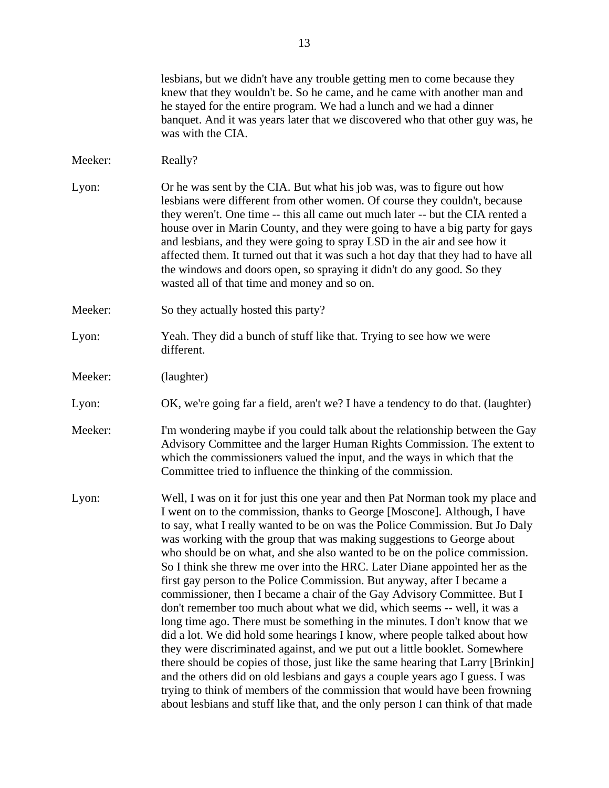lesbians, but we didn't have any trouble getting men to come because they knew that they wouldn't be. So he came, and he came with another man and he stayed for the entire program. We had a lunch and we had a dinner banquet. And it was years later that we discovered who that other guy was, he was with the CIA. Meeker: Really? Lyon: Or he was sent by the CIA. But what his job was, was to figure out how lesbians were different from other women. Of course they couldn't, because they weren't. One time -- this all came out much later -- but the CIA rented a house over in Marin County, and they were going to have a big party for gays and lesbians, and they were going to spray LSD in the air and see how it affected them. It turned out that it was such a hot day that they had to have all the windows and doors open, so spraying it didn't do any good. So they wasted all of that time and money and so on. Meeker: So they actually hosted this party? Lyon: Yeah. They did a bunch of stuff like that. Trying to see how we were different. Meeker: (laughter) Lyon: OK, we're going far a field, aren't we? I have a tendency to do that. (laughter) Meeker: I'm wondering maybe if you could talk about the relationship between the Gay Advisory Committee and the larger Human Rights Commission. The extent to which the commissioners valued the input, and the ways in which that the Committee tried to influence the thinking of the commission. Lyon: Well, I was on it for just this one year and then Pat Norman took my place and I went on to the commission, thanks to George [Moscone]. Although, I have to say, what I really wanted to be on was the Police Commission. But Jo Daly was working with the group that was making suggestions to George about who should be on what, and she also wanted to be on the police commission. So I think she threw me over into the HRC. Later Diane appointed her as the first gay person to the Police Commission. But anyway, after I became a commissioner, then I became a chair of the Gay Advisory Committee. But I don't remember too much about what we did, which seems -- well, it was a long time ago. There must be something in the minutes. I don't know that we did a lot. We did hold some hearings I know, where people talked about how they were discriminated against, and we put out a little booklet. Somewhere there should be copies of those, just like the same hearing that Larry [Brinkin] and the others did on old lesbians and gays a couple years ago I guess. I was trying to think of members of the commission that would have been frowning about lesbians and stuff like that, and the only person I can think of that made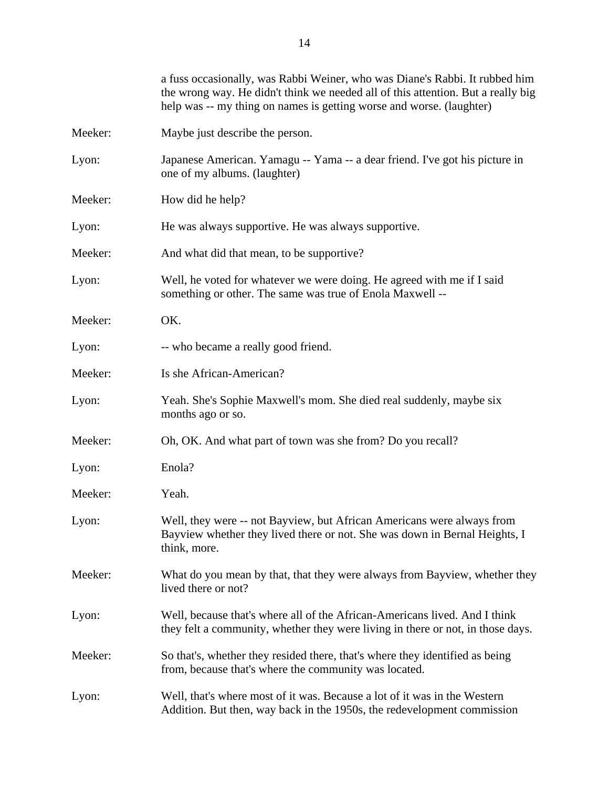|         | a fuss occasionally, was Rabbi Weiner, who was Diane's Rabbi. It rubbed him<br>the wrong way. He didn't think we needed all of this attention. But a really big<br>help was -- my thing on names is getting worse and worse. (laughter) |
|---------|-----------------------------------------------------------------------------------------------------------------------------------------------------------------------------------------------------------------------------------------|
| Meeker: | Maybe just describe the person.                                                                                                                                                                                                         |
| Lyon:   | Japanese American. Yamagu -- Yama -- a dear friend. I've got his picture in<br>one of my albums. (laughter)                                                                                                                             |
| Meeker: | How did he help?                                                                                                                                                                                                                        |
| Lyon:   | He was always supportive. He was always supportive.                                                                                                                                                                                     |
| Meeker: | And what did that mean, to be supportive?                                                                                                                                                                                               |
| Lyon:   | Well, he voted for whatever we were doing. He agreed with me if I said<br>something or other. The same was true of Enola Maxwell --                                                                                                     |
| Meeker: | OK.                                                                                                                                                                                                                                     |
| Lyon:   | -- who became a really good friend.                                                                                                                                                                                                     |
| Meeker: | Is she African-American?                                                                                                                                                                                                                |
| Lyon:   | Yeah. She's Sophie Maxwell's mom. She died real suddenly, maybe six<br>months ago or so.                                                                                                                                                |
| Meeker: | Oh, OK. And what part of town was she from? Do you recall?                                                                                                                                                                              |
| Lyon:   | Enola?                                                                                                                                                                                                                                  |
| Meeker: | Yeah.                                                                                                                                                                                                                                   |
| Lyon:   | Well, they were -- not Bayview, but African Americans were always from<br>Bayview whether they lived there or not. She was down in Bernal Heights, I<br>think, more.                                                                    |
| Meeker: | What do you mean by that, that they were always from Bayview, whether they<br>lived there or not?                                                                                                                                       |
| Lyon:   | Well, because that's where all of the African-Americans lived. And I think<br>they felt a community, whether they were living in there or not, in those days.                                                                           |
| Meeker: | So that's, whether they resided there, that's where they identified as being<br>from, because that's where the community was located.                                                                                                   |
| Lyon:   | Well, that's where most of it was. Because a lot of it was in the Western<br>Addition. But then, way back in the 1950s, the redevelopment commission                                                                                    |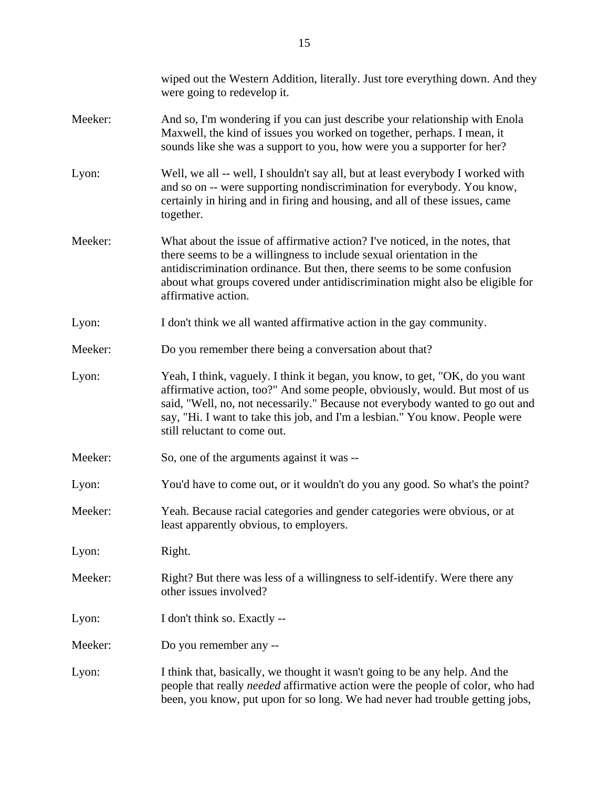|         | wiped out the Western Addition, literally. Just tore everything down. And they<br>were going to redevelop it.                                                                                                                                                                                                                                                |
|---------|--------------------------------------------------------------------------------------------------------------------------------------------------------------------------------------------------------------------------------------------------------------------------------------------------------------------------------------------------------------|
| Meeker: | And so, I'm wondering if you can just describe your relationship with Enola<br>Maxwell, the kind of issues you worked on together, perhaps. I mean, it<br>sounds like she was a support to you, how were you a supporter for her?                                                                                                                            |
| Lyon:   | Well, we all -- well, I shouldn't say all, but at least everybody I worked with<br>and so on -- were supporting nondiscrimination for everybody. You know,<br>certainly in hiring and in firing and housing, and all of these issues, came<br>together.                                                                                                      |
| Meeker: | What about the issue of affirmative action? I've noticed, in the notes, that<br>there seems to be a willingness to include sexual orientation in the<br>antidiscrimination ordinance. But then, there seems to be some confusion<br>about what groups covered under antidiscrimination might also be eligible for<br>affirmative action.                     |
| Lyon:   | I don't think we all wanted affirmative action in the gay community.                                                                                                                                                                                                                                                                                         |
| Meeker: | Do you remember there being a conversation about that?                                                                                                                                                                                                                                                                                                       |
| Lyon:   | Yeah, I think, vaguely. I think it began, you know, to get, "OK, do you want<br>affirmative action, too?" And some people, obviously, would. But most of us<br>said, "Well, no, not necessarily." Because not everybody wanted to go out and<br>say, "Hi. I want to take this job, and I'm a lesbian." You know. People were<br>still reluctant to come out. |
| Meeker: | So, one of the arguments against it was --                                                                                                                                                                                                                                                                                                                   |
| Lyon:   | You'd have to come out, or it wouldn't do you any good. So what's the point?                                                                                                                                                                                                                                                                                 |
| Meeker: | Yeah. Because racial categories and gender categories were obvious, or at<br>least apparently obvious, to employers.                                                                                                                                                                                                                                         |
| Lyon:   | Right.                                                                                                                                                                                                                                                                                                                                                       |
| Meeker: | Right? But there was less of a willingness to self-identify. Were there any<br>other issues involved?                                                                                                                                                                                                                                                        |
| Lyon:   | I don't think so. Exactly --                                                                                                                                                                                                                                                                                                                                 |
| Meeker: | Do you remember any --                                                                                                                                                                                                                                                                                                                                       |
| Lyon:   | I think that, basically, we thought it wasn't going to be any help. And the<br>people that really needed affirmative action were the people of color, who had<br>been, you know, put upon for so long. We had never had trouble getting jobs,                                                                                                                |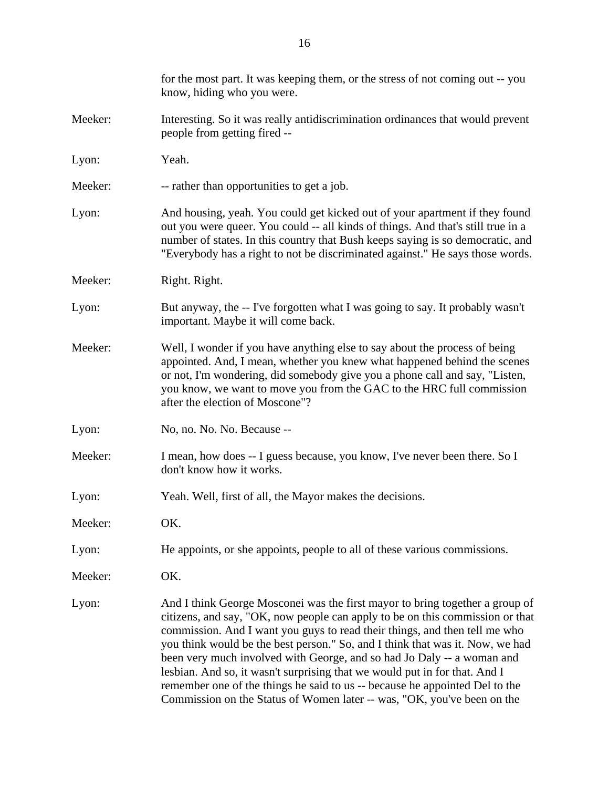|         | for the most part. It was keeping them, or the stress of not coming out -- you<br>know, hiding who you were.                                                                                                                                                                                                                                                                                                                                                                                                                                                                                                                                   |
|---------|------------------------------------------------------------------------------------------------------------------------------------------------------------------------------------------------------------------------------------------------------------------------------------------------------------------------------------------------------------------------------------------------------------------------------------------------------------------------------------------------------------------------------------------------------------------------------------------------------------------------------------------------|
| Meeker: | Interesting. So it was really antidiscrimination ordinances that would prevent<br>people from getting fired --                                                                                                                                                                                                                                                                                                                                                                                                                                                                                                                                 |
| Lyon:   | Yeah.                                                                                                                                                                                                                                                                                                                                                                                                                                                                                                                                                                                                                                          |
| Meeker: | -- rather than opportunities to get a job.                                                                                                                                                                                                                                                                                                                                                                                                                                                                                                                                                                                                     |
| Lyon:   | And housing, yeah. You could get kicked out of your apartment if they found<br>out you were queer. You could -- all kinds of things. And that's still true in a<br>number of states. In this country that Bush keeps saying is so democratic, and<br>"Everybody has a right to not be discriminated against." He says those words.                                                                                                                                                                                                                                                                                                             |
| Meeker: | Right. Right.                                                                                                                                                                                                                                                                                                                                                                                                                                                                                                                                                                                                                                  |
| Lyon:   | But anyway, the -- I've forgotten what I was going to say. It probably wasn't<br>important. Maybe it will come back.                                                                                                                                                                                                                                                                                                                                                                                                                                                                                                                           |
| Meeker: | Well, I wonder if you have anything else to say about the process of being<br>appointed. And, I mean, whether you knew what happened behind the scenes<br>or not, I'm wondering, did somebody give you a phone call and say, "Listen,<br>you know, we want to move you from the GAC to the HRC full commission<br>after the election of Moscone"?                                                                                                                                                                                                                                                                                              |
| Lyon:   | No, no. No. No. Because --                                                                                                                                                                                                                                                                                                                                                                                                                                                                                                                                                                                                                     |
| Meeker: | I mean, how does -- I guess because, you know, I've never been there. So I<br>don't know how it works.                                                                                                                                                                                                                                                                                                                                                                                                                                                                                                                                         |
| Lyon:   | Yeah. Well, first of all, the Mayor makes the decisions.                                                                                                                                                                                                                                                                                                                                                                                                                                                                                                                                                                                       |
| Meeker: | OK.                                                                                                                                                                                                                                                                                                                                                                                                                                                                                                                                                                                                                                            |
| Lyon:   | He appoints, or she appoints, people to all of these various commissions.                                                                                                                                                                                                                                                                                                                                                                                                                                                                                                                                                                      |
| Meeker: | OK.                                                                                                                                                                                                                                                                                                                                                                                                                                                                                                                                                                                                                                            |
| Lyon:   | And I think George Mosconei was the first mayor to bring together a group of<br>citizens, and say, "OK, now people can apply to be on this commission or that<br>commission. And I want you guys to read their things, and then tell me who<br>you think would be the best person." So, and I think that was it. Now, we had<br>been very much involved with George, and so had Jo Daly -- a woman and<br>lesbian. And so, it wasn't surprising that we would put in for that. And I<br>remember one of the things he said to us -- because he appointed Del to the<br>Commission on the Status of Women later -- was, "OK, you've been on the |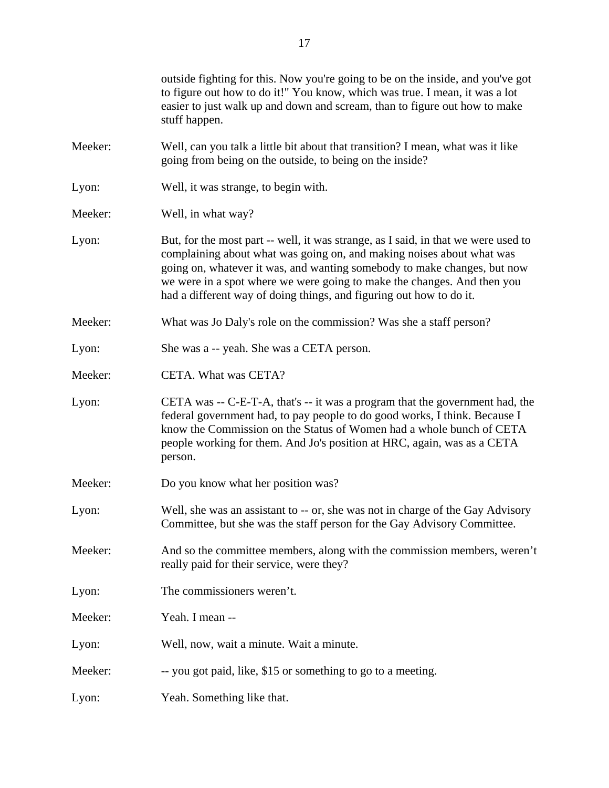| outside fighting for this. Now you're going to be on the inside, and you've got<br>to figure out how to do it!" You know, which was true. I mean, it was a lot<br>easier to just walk up and down and scream, than to figure out how to make<br>stuff happen.                                                                                                                             |
|-------------------------------------------------------------------------------------------------------------------------------------------------------------------------------------------------------------------------------------------------------------------------------------------------------------------------------------------------------------------------------------------|
| Well, can you talk a little bit about that transition? I mean, what was it like<br>going from being on the outside, to being on the inside?                                                                                                                                                                                                                                               |
| Well, it was strange, to begin with.                                                                                                                                                                                                                                                                                                                                                      |
| Well, in what way?                                                                                                                                                                                                                                                                                                                                                                        |
| But, for the most part -- well, it was strange, as I said, in that we were used to<br>complaining about what was going on, and making noises about what was<br>going on, whatever it was, and wanting somebody to make changes, but now<br>we were in a spot where we were going to make the changes. And then you<br>had a different way of doing things, and figuring out how to do it. |
| What was Jo Daly's role on the commission? Was she a staff person?                                                                                                                                                                                                                                                                                                                        |
| She was a -- yeah. She was a CETA person.                                                                                                                                                                                                                                                                                                                                                 |
| CETA. What was CETA?                                                                                                                                                                                                                                                                                                                                                                      |
| CETA was -- C-E-T-A, that's -- it was a program that the government had, the<br>federal government had, to pay people to do good works, I think. Because I<br>know the Commission on the Status of Women had a whole bunch of CETA<br>people working for them. And Jo's position at HRC, again, was as a CETA<br>person.                                                                  |
| Do you know what her position was?                                                                                                                                                                                                                                                                                                                                                        |
| Well, she was an assistant to -- or, she was not in charge of the Gay Advisory<br>Committee, but she was the staff person for the Gay Advisory Committee.                                                                                                                                                                                                                                 |
| And so the committee members, along with the commission members, weren't<br>really paid for their service, were they?                                                                                                                                                                                                                                                                     |
| The commissioners weren't.                                                                                                                                                                                                                                                                                                                                                                |
| Yeah. I mean --                                                                                                                                                                                                                                                                                                                                                                           |
| Well, now, wait a minute. Wait a minute.                                                                                                                                                                                                                                                                                                                                                  |
| -- you got paid, like, \$15 or something to go to a meeting.                                                                                                                                                                                                                                                                                                                              |
| Yeah. Something like that.                                                                                                                                                                                                                                                                                                                                                                |
|                                                                                                                                                                                                                                                                                                                                                                                           |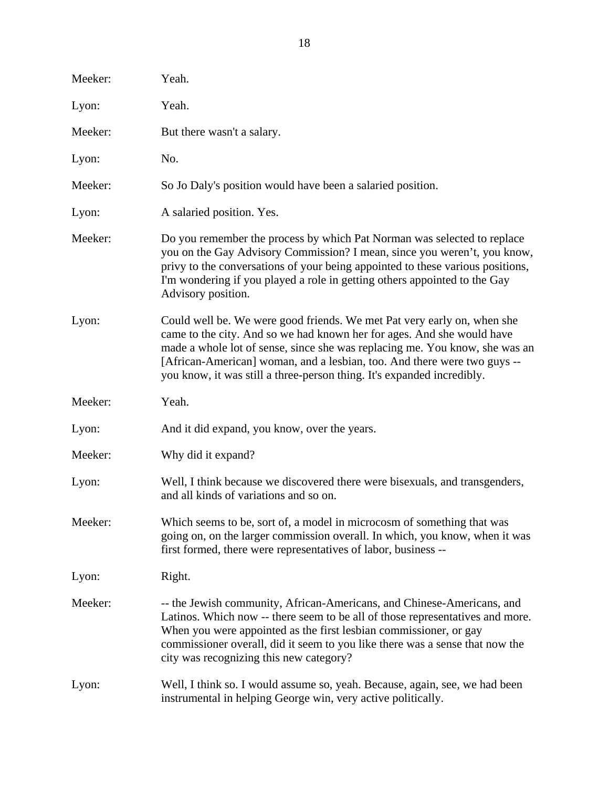| Meeker: | Yeah.                                                                                                                                                                                                                                                                                                                                                                                  |
|---------|----------------------------------------------------------------------------------------------------------------------------------------------------------------------------------------------------------------------------------------------------------------------------------------------------------------------------------------------------------------------------------------|
| Lyon:   | Yeah.                                                                                                                                                                                                                                                                                                                                                                                  |
| Meeker: | But there wasn't a salary.                                                                                                                                                                                                                                                                                                                                                             |
| Lyon:   | No.                                                                                                                                                                                                                                                                                                                                                                                    |
| Meeker: | So Jo Daly's position would have been a salaried position.                                                                                                                                                                                                                                                                                                                             |
| Lyon:   | A salaried position. Yes.                                                                                                                                                                                                                                                                                                                                                              |
| Meeker: | Do you remember the process by which Pat Norman was selected to replace<br>you on the Gay Advisory Commission? I mean, since you weren't, you know,<br>privy to the conversations of your being appointed to these various positions,<br>I'm wondering if you played a role in getting others appointed to the Gay<br>Advisory position.                                               |
| Lyon:   | Could well be. We were good friends. We met Pat very early on, when she<br>came to the city. And so we had known her for ages. And she would have<br>made a whole lot of sense, since she was replacing me. You know, she was an<br>[African-American] woman, and a lesbian, too. And there were two guys --<br>you know, it was still a three-person thing. It's expanded incredibly. |
| Meeker: | Yeah.                                                                                                                                                                                                                                                                                                                                                                                  |
|         |                                                                                                                                                                                                                                                                                                                                                                                        |
| Lyon:   | And it did expand, you know, over the years.                                                                                                                                                                                                                                                                                                                                           |
| Meeker: | Why did it expand?                                                                                                                                                                                                                                                                                                                                                                     |
| Lyon:   | Well, I think because we discovered there were bisexuals, and transgenders,<br>and all kinds of variations and so on.                                                                                                                                                                                                                                                                  |
| Meeker: | Which seems to be, sort of, a model in microcosm of something that was<br>going on, on the larger commission overall. In which, you know, when it was<br>first formed, there were representatives of labor, business --                                                                                                                                                                |
| Lyon:   | Right.                                                                                                                                                                                                                                                                                                                                                                                 |
| Meeker: | -- the Jewish community, African-Americans, and Chinese-Americans, and<br>Latinos. Which now -- there seem to be all of those representatives and more.<br>When you were appointed as the first lesbian commissioner, or gay<br>commissioner overall, did it seem to you like there was a sense that now the<br>city was recognizing this new category?                                |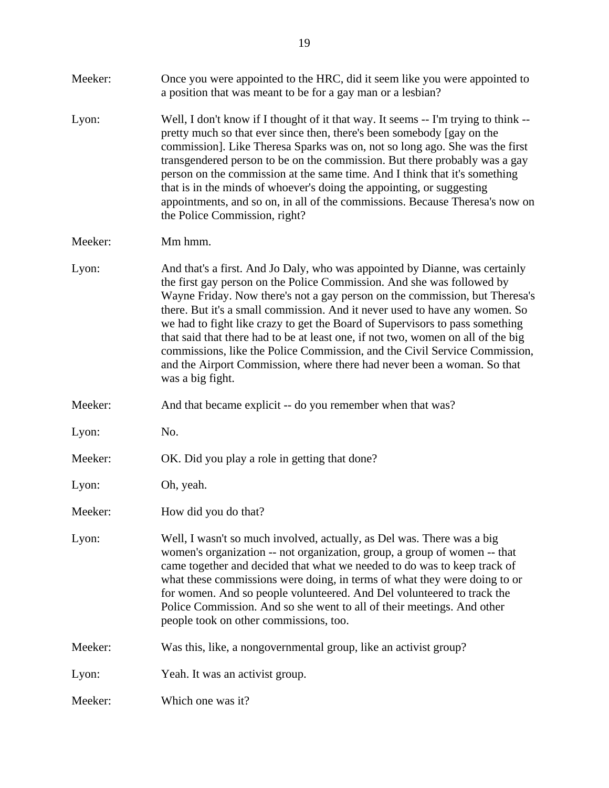| Meeker: | Once you were appointed to the HRC, did it seem like you were appointed to<br>a position that was meant to be for a gay man or a lesbian?                                                                                                                                                                                                                                                                                                                                                                                                                                                                                                                            |
|---------|----------------------------------------------------------------------------------------------------------------------------------------------------------------------------------------------------------------------------------------------------------------------------------------------------------------------------------------------------------------------------------------------------------------------------------------------------------------------------------------------------------------------------------------------------------------------------------------------------------------------------------------------------------------------|
| Lyon:   | Well, I don't know if I thought of it that way. It seems -- I'm trying to think --<br>pretty much so that ever since then, there's been somebody [gay on the<br>commission]. Like Theresa Sparks was on, not so long ago. She was the first<br>transgendered person to be on the commission. But there probably was a gay<br>person on the commission at the same time. And I think that it's something<br>that is in the minds of whoever's doing the appointing, or suggesting<br>appointments, and so on, in all of the commissions. Because Theresa's now on<br>the Police Commission, right?                                                                    |
| Meeker: | Mm hmm.                                                                                                                                                                                                                                                                                                                                                                                                                                                                                                                                                                                                                                                              |
| Lyon:   | And that's a first. And Jo Daly, who was appointed by Dianne, was certainly<br>the first gay person on the Police Commission. And she was followed by<br>Wayne Friday. Now there's not a gay person on the commission, but Theresa's<br>there. But it's a small commission. And it never used to have any women. So<br>we had to fight like crazy to get the Board of Supervisors to pass something<br>that said that there had to be at least one, if not two, women on all of the big<br>commissions, like the Police Commission, and the Civil Service Commission,<br>and the Airport Commission, where there had never been a woman. So that<br>was a big fight. |
| Meeker: | And that became explicit -- do you remember when that was?                                                                                                                                                                                                                                                                                                                                                                                                                                                                                                                                                                                                           |
| Lyon:   | No.                                                                                                                                                                                                                                                                                                                                                                                                                                                                                                                                                                                                                                                                  |
| Meeker: | OK. Did you play a role in getting that done?                                                                                                                                                                                                                                                                                                                                                                                                                                                                                                                                                                                                                        |
| Lyon:   | Oh, yeah.                                                                                                                                                                                                                                                                                                                                                                                                                                                                                                                                                                                                                                                            |
| Meeker: | How did you do that?                                                                                                                                                                                                                                                                                                                                                                                                                                                                                                                                                                                                                                                 |
| Lyon:   | Well, I wasn't so much involved, actually, as Del was. There was a big<br>women's organization -- not organization, group, a group of women -- that<br>came together and decided that what we needed to do was to keep track of<br>what these commissions were doing, in terms of what they were doing to or<br>for women. And so people volunteered. And Del volunteered to track the<br>Police Commission. And so she went to all of their meetings. And other<br>people took on other commissions, too.                                                                                                                                                           |
| Meeker: | Was this, like, a nongovernmental group, like an activist group?                                                                                                                                                                                                                                                                                                                                                                                                                                                                                                                                                                                                     |
| Lyon:   | Yeah. It was an activist group.                                                                                                                                                                                                                                                                                                                                                                                                                                                                                                                                                                                                                                      |
| Meeker: | Which one was it?                                                                                                                                                                                                                                                                                                                                                                                                                                                                                                                                                                                                                                                    |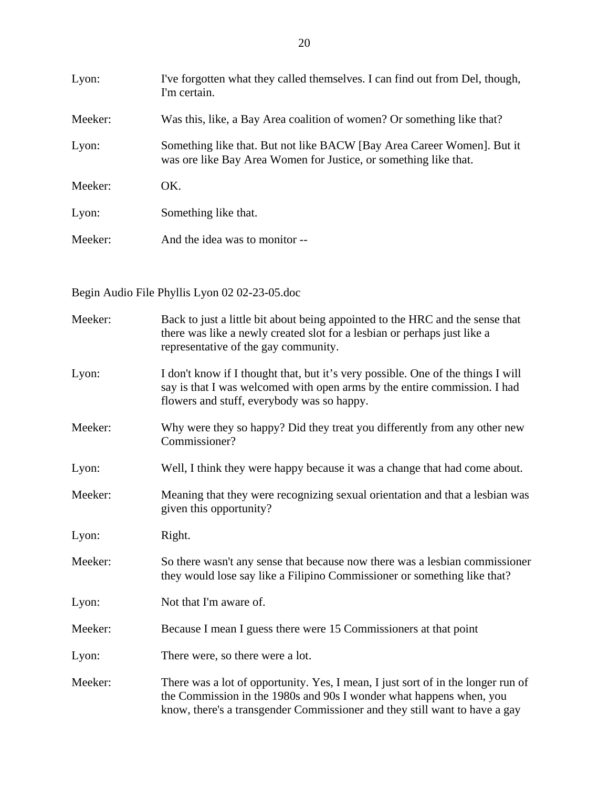| Lyon:   | I've forgotten what they called themselves. I can find out from Del, though,<br>I'm certain.                                               |
|---------|--------------------------------------------------------------------------------------------------------------------------------------------|
| Meeker: | Was this, like, a Bay Area coalition of women? Or something like that?                                                                     |
| Lyon:   | Something like that. But not like BACW [Bay Area Career Women]. But it<br>was ore like Bay Area Women for Justice, or something like that. |
| Meeker: | OK.                                                                                                                                        |
| Lyon:   | Something like that.                                                                                                                       |
| Meeker: | And the idea was to monitor --                                                                                                             |

Begin Audio File Phyllis Lyon 02 02-23-05.doc

| Meeker: | Back to just a little bit about being appointed to the HRC and the sense that<br>there was like a newly created slot for a lesbian or perhaps just like a<br>representative of the gay community.                                     |
|---------|---------------------------------------------------------------------------------------------------------------------------------------------------------------------------------------------------------------------------------------|
| Lyon:   | I don't know if I thought that, but it's very possible. One of the things I will<br>say is that I was welcomed with open arms by the entire commission. I had<br>flowers and stuff, everybody was so happy.                           |
| Meeker: | Why were they so happy? Did they treat you differently from any other new<br>Commissioner?                                                                                                                                            |
| Lyon:   | Well, I think they were happy because it was a change that had come about.                                                                                                                                                            |
| Meeker: | Meaning that they were recognizing sexual orientation and that a lesbian was<br>given this opportunity?                                                                                                                               |
| Lyon:   | Right.                                                                                                                                                                                                                                |
| Meeker: | So there wasn't any sense that because now there was a lesbian commissioner<br>they would lose say like a Filipino Commissioner or something like that?                                                                               |
| Lyon:   | Not that I'm aware of.                                                                                                                                                                                                                |
| Meeker: | Because I mean I guess there were 15 Commissioners at that point                                                                                                                                                                      |
| Lyon:   | There were, so there were a lot.                                                                                                                                                                                                      |
| Meeker: | There was a lot of opportunity. Yes, I mean, I just sort of in the longer run of<br>the Commission in the 1980s and 90s I wonder what happens when, you<br>know, there's a transgender Commissioner and they still want to have a gay |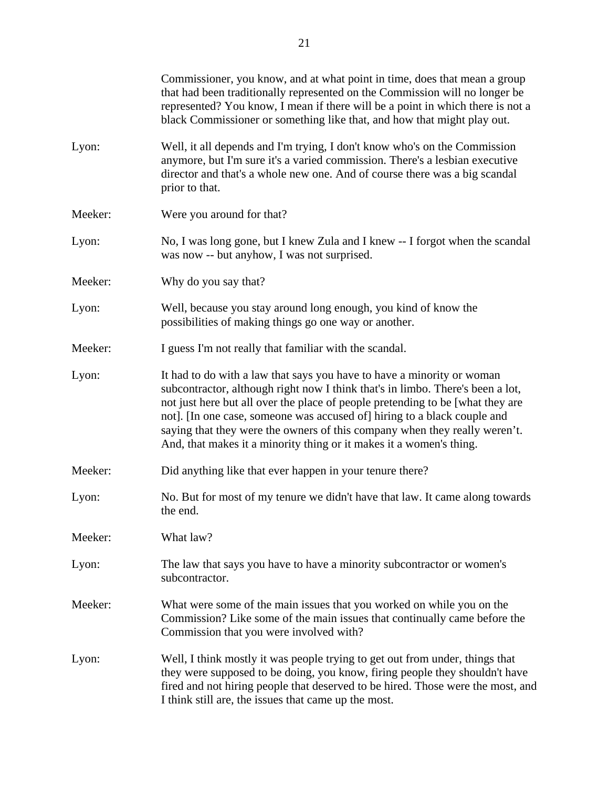|         | Commissioner, you know, and at what point in time, does that mean a group<br>that had been traditionally represented on the Commission will no longer be<br>represented? You know, I mean if there will be a point in which there is not a<br>black Commissioner or something like that, and how that might play out.                                                                                                                                                       |
|---------|-----------------------------------------------------------------------------------------------------------------------------------------------------------------------------------------------------------------------------------------------------------------------------------------------------------------------------------------------------------------------------------------------------------------------------------------------------------------------------|
| Lyon:   | Well, it all depends and I'm trying, I don't know who's on the Commission<br>anymore, but I'm sure it's a varied commission. There's a lesbian executive<br>director and that's a whole new one. And of course there was a big scandal<br>prior to that.                                                                                                                                                                                                                    |
| Meeker: | Were you around for that?                                                                                                                                                                                                                                                                                                                                                                                                                                                   |
| Lyon:   | No, I was long gone, but I knew Zula and I knew -- I forgot when the scandal<br>was now -- but anyhow, I was not surprised.                                                                                                                                                                                                                                                                                                                                                 |
| Meeker: | Why do you say that?                                                                                                                                                                                                                                                                                                                                                                                                                                                        |
| Lyon:   | Well, because you stay around long enough, you kind of know the<br>possibilities of making things go one way or another.                                                                                                                                                                                                                                                                                                                                                    |
| Meeker: | I guess I'm not really that familiar with the scandal.                                                                                                                                                                                                                                                                                                                                                                                                                      |
| Lyon:   | It had to do with a law that says you have to have a minority or woman<br>subcontractor, although right now I think that's in limbo. There's been a lot,<br>not just here but all over the place of people pretending to be [what they are<br>not]. [In one case, someone was accused of] hiring to a black couple and<br>saying that they were the owners of this company when they really weren't.<br>And, that makes it a minority thing or it makes it a women's thing. |
| Meeker: | Did anything like that ever happen in your tenure there?                                                                                                                                                                                                                                                                                                                                                                                                                    |
| Lyon:   | No. But for most of my tenure we didn't have that law. It came along towards<br>the end.                                                                                                                                                                                                                                                                                                                                                                                    |
| Meeker: | What law?                                                                                                                                                                                                                                                                                                                                                                                                                                                                   |
| Lyon:   | The law that says you have to have a minority subcontractor or women's<br>subcontractor.                                                                                                                                                                                                                                                                                                                                                                                    |
| Meeker: | What were some of the main issues that you worked on while you on the<br>Commission? Like some of the main issues that continually came before the<br>Commission that you were involved with?                                                                                                                                                                                                                                                                               |
| Lyon:   | Well, I think mostly it was people trying to get out from under, things that<br>they were supposed to be doing, you know, firing people they shouldn't have<br>fired and not hiring people that deserved to be hired. Those were the most, and<br>I think still are, the issues that came up the most.                                                                                                                                                                      |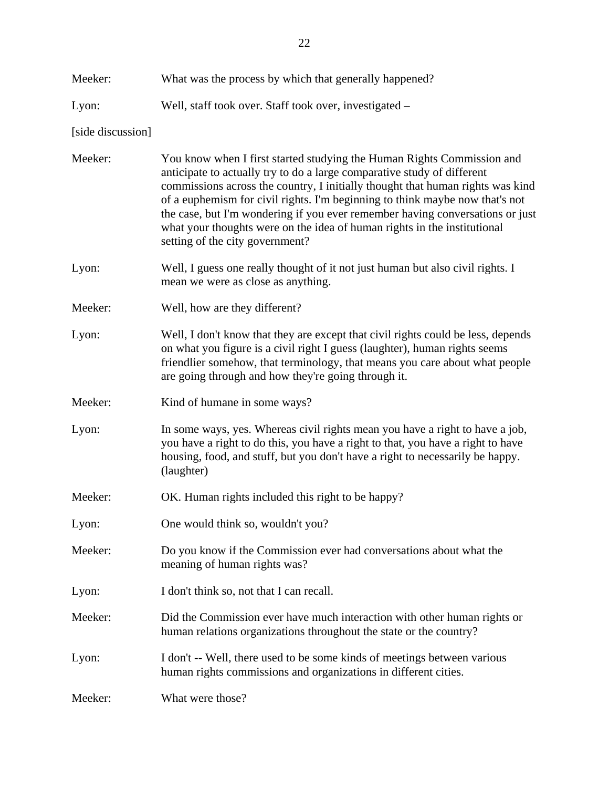| Meeker:           | What was the process by which that generally happened?                                                                                                                                                                                                                                                                                                                                                                                                                                                              |
|-------------------|---------------------------------------------------------------------------------------------------------------------------------------------------------------------------------------------------------------------------------------------------------------------------------------------------------------------------------------------------------------------------------------------------------------------------------------------------------------------------------------------------------------------|
| Lyon:             | Well, staff took over. Staff took over, investigated –                                                                                                                                                                                                                                                                                                                                                                                                                                                              |
| [side discussion] |                                                                                                                                                                                                                                                                                                                                                                                                                                                                                                                     |
| Meeker:           | You know when I first started studying the Human Rights Commission and<br>anticipate to actually try to do a large comparative study of different<br>commissions across the country, I initially thought that human rights was kind<br>of a euphemism for civil rights. I'm beginning to think maybe now that's not<br>the case, but I'm wondering if you ever remember having conversations or just<br>what your thoughts were on the idea of human rights in the institutional<br>setting of the city government? |
| Lyon:             | Well, I guess one really thought of it not just human but also civil rights. I<br>mean we were as close as anything.                                                                                                                                                                                                                                                                                                                                                                                                |
| Meeker:           | Well, how are they different?                                                                                                                                                                                                                                                                                                                                                                                                                                                                                       |
| Lyon:             | Well, I don't know that they are except that civil rights could be less, depends<br>on what you figure is a civil right I guess (laughter), human rights seems<br>friendlier somehow, that terminology, that means you care about what people<br>are going through and how they're going through it.                                                                                                                                                                                                                |
| Meeker:           | Kind of humane in some ways?                                                                                                                                                                                                                                                                                                                                                                                                                                                                                        |
| Lyon:             | In some ways, yes. Whereas civil rights mean you have a right to have a job,<br>you have a right to do this, you have a right to that, you have a right to have<br>housing, food, and stuff, but you don't have a right to necessarily be happy.<br>(laughter)                                                                                                                                                                                                                                                      |
| Meeker:           | OK. Human rights included this right to be happy?                                                                                                                                                                                                                                                                                                                                                                                                                                                                   |
| Lyon:             | One would think so, wouldn't you?                                                                                                                                                                                                                                                                                                                                                                                                                                                                                   |
| Meeker:           | Do you know if the Commission ever had conversations about what the<br>meaning of human rights was?                                                                                                                                                                                                                                                                                                                                                                                                                 |
| Lyon:             | I don't think so, not that I can recall.                                                                                                                                                                                                                                                                                                                                                                                                                                                                            |
| Meeker:           | Did the Commission ever have much interaction with other human rights or<br>human relations organizations throughout the state or the country?                                                                                                                                                                                                                                                                                                                                                                      |
| Lyon:             | I don't -- Well, there used to be some kinds of meetings between various<br>human rights commissions and organizations in different cities.                                                                                                                                                                                                                                                                                                                                                                         |
| Meeker:           | What were those?                                                                                                                                                                                                                                                                                                                                                                                                                                                                                                    |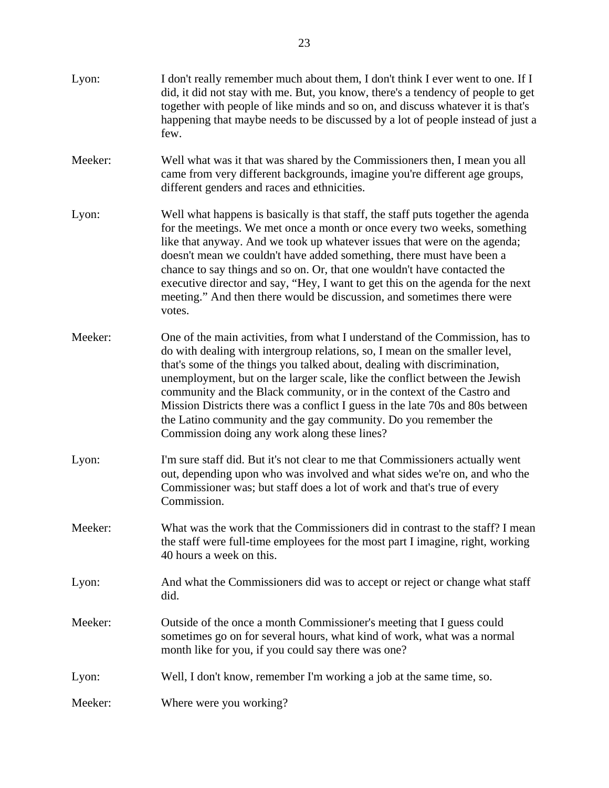| Lyon:   | I don't really remember much about them, I don't think I ever went to one. If I<br>did, it did not stay with me. But, you know, there's a tendency of people to get<br>together with people of like minds and so on, and discuss whatever it is that's<br>happening that maybe needs to be discussed by a lot of people instead of just a<br>few.                                                                                                                                                                                                                                                     |
|---------|-------------------------------------------------------------------------------------------------------------------------------------------------------------------------------------------------------------------------------------------------------------------------------------------------------------------------------------------------------------------------------------------------------------------------------------------------------------------------------------------------------------------------------------------------------------------------------------------------------|
| Meeker: | Well what was it that was shared by the Commissioners then, I mean you all<br>came from very different backgrounds, imagine you're different age groups,<br>different genders and races and ethnicities.                                                                                                                                                                                                                                                                                                                                                                                              |
| Lyon:   | Well what happens is basically is that staff, the staff puts together the agenda<br>for the meetings. We met once a month or once every two weeks, something<br>like that anyway. And we took up whatever issues that were on the agenda;<br>doesn't mean we couldn't have added something, there must have been a<br>chance to say things and so on. Or, that one wouldn't have contacted the<br>executive director and say, "Hey, I want to get this on the agenda for the next<br>meeting." And then there would be discussion, and sometimes there were<br>votes.                                 |
| Meeker: | One of the main activities, from what I understand of the Commission, has to<br>do with dealing with intergroup relations, so, I mean on the smaller level,<br>that's some of the things you talked about, dealing with discrimination,<br>unemployment, but on the larger scale, like the conflict between the Jewish<br>community and the Black community, or in the context of the Castro and<br>Mission Districts there was a conflict I guess in the late 70s and 80s between<br>the Latino community and the gay community. Do you remember the<br>Commission doing any work along these lines? |
| Lyon:   | I'm sure staff did. But it's not clear to me that Commissioners actually went<br>out, depending upon who was involved and what sides we're on, and who the<br>Commissioner was; but staff does a lot of work and that's true of every<br>Commission.                                                                                                                                                                                                                                                                                                                                                  |
| Meeker: | What was the work that the Commissioners did in contrast to the staff? I mean<br>the staff were full-time employees for the most part I imagine, right, working<br>40 hours a week on this.                                                                                                                                                                                                                                                                                                                                                                                                           |
| Lyon:   | And what the Commissioners did was to accept or reject or change what staff<br>did.                                                                                                                                                                                                                                                                                                                                                                                                                                                                                                                   |
| Meeker: | Outside of the once a month Commissioner's meeting that I guess could<br>sometimes go on for several hours, what kind of work, what was a normal<br>month like for you, if you could say there was one?                                                                                                                                                                                                                                                                                                                                                                                               |
| Lyon:   | Well, I don't know, remember I'm working a job at the same time, so.                                                                                                                                                                                                                                                                                                                                                                                                                                                                                                                                  |
| Meeker: | Where were you working?                                                                                                                                                                                                                                                                                                                                                                                                                                                                                                                                                                               |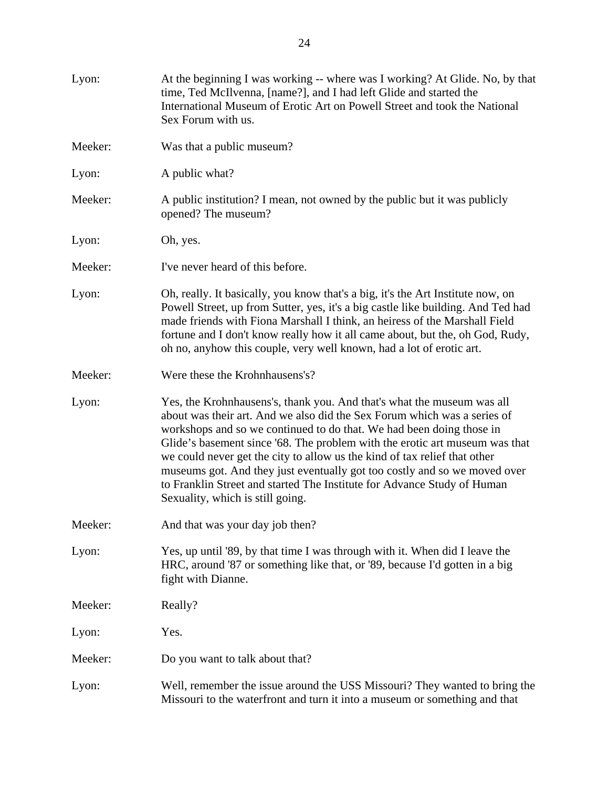| Lyon:   | At the beginning I was working -- where was I working? At Glide. No, by that<br>time, Ted McIlvenna, [name?], and I had left Glide and started the<br>International Museum of Erotic Art on Powell Street and took the National<br>Sex Forum with us.                                                                                                                                                                                                                                                                                                                              |
|---------|------------------------------------------------------------------------------------------------------------------------------------------------------------------------------------------------------------------------------------------------------------------------------------------------------------------------------------------------------------------------------------------------------------------------------------------------------------------------------------------------------------------------------------------------------------------------------------|
| Meeker: | Was that a public museum?                                                                                                                                                                                                                                                                                                                                                                                                                                                                                                                                                          |
| Lyon:   | A public what?                                                                                                                                                                                                                                                                                                                                                                                                                                                                                                                                                                     |
| Meeker: | A public institution? I mean, not owned by the public but it was publicly<br>opened? The museum?                                                                                                                                                                                                                                                                                                                                                                                                                                                                                   |
| Lyon:   | Oh, yes.                                                                                                                                                                                                                                                                                                                                                                                                                                                                                                                                                                           |
| Meeker: | I've never heard of this before.                                                                                                                                                                                                                                                                                                                                                                                                                                                                                                                                                   |
| Lyon:   | Oh, really. It basically, you know that's a big, it's the Art Institute now, on<br>Powell Street, up from Sutter, yes, it's a big castle like building. And Ted had<br>made friends with Fiona Marshall I think, an heiress of the Marshall Field<br>fortune and I don't know really how it all came about, but the, oh God, Rudy,<br>oh no, anyhow this couple, very well known, had a lot of erotic art.                                                                                                                                                                         |
| Meeker: | Were these the Krohnhausens's?                                                                                                                                                                                                                                                                                                                                                                                                                                                                                                                                                     |
| Lyon:   | Yes, the Krohnhausens's, thank you. And that's what the museum was all<br>about was their art. And we also did the Sex Forum which was a series of<br>workshops and so we continued to do that. We had been doing those in<br>Glide's basement since '68. The problem with the erotic art museum was that<br>we could never get the city to allow us the kind of tax relief that other<br>museums got. And they just eventually got too costly and so we moved over<br>to Franklin Street and started The Institute for Advance Study of Human<br>Sexuality, which is still going. |
| Meeker: | And that was your day job then?                                                                                                                                                                                                                                                                                                                                                                                                                                                                                                                                                    |
| Lyon:   | Yes, up until '89, by that time I was through with it. When did I leave the<br>HRC, around '87 or something like that, or '89, because I'd gotten in a big<br>fight with Dianne.                                                                                                                                                                                                                                                                                                                                                                                                   |
| Meeker: | Really?                                                                                                                                                                                                                                                                                                                                                                                                                                                                                                                                                                            |
| Lyon:   | Yes.                                                                                                                                                                                                                                                                                                                                                                                                                                                                                                                                                                               |
| Meeker: | Do you want to talk about that?                                                                                                                                                                                                                                                                                                                                                                                                                                                                                                                                                    |
| Lyon:   | Well, remember the issue around the USS Missouri? They wanted to bring the<br>Missouri to the waterfront and turn it into a museum or something and that                                                                                                                                                                                                                                                                                                                                                                                                                           |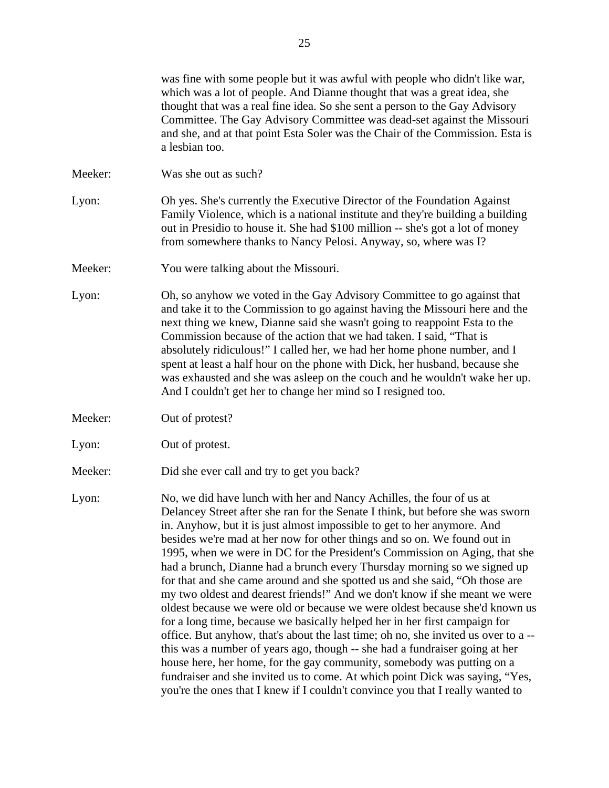was fine with some people but it was awful with people who didn't like war, which was a lot of people. And Dianne thought that was a great idea, she thought that was a real fine idea. So she sent a person to the Gay Advisory Committee. The Gay Advisory Committee was dead-set against the Missouri and she, and at that point Esta Soler was the Chair of the Commission. Esta is a lesbian too. Meeker: Was she out as such? Lyon: Oh yes. She's currently the Executive Director of the Foundation Against Family Violence, which is a national institute and they're building a building out in Presidio to house it. She had \$100 million -- she's got a lot of money from somewhere thanks to Nancy Pelosi. Anyway, so, where was I? Meeker: You were talking about the Missouri. Lyon: Oh, so anyhow we voted in the Gay Advisory Committee to go against that and take it to the Commission to go against having the Missouri here and the next thing we knew, Dianne said she wasn't going to reappoint Esta to the Commission because of the action that we had taken. I said, "That is absolutely ridiculous!" I called her, we had her home phone number, and I spent at least a half hour on the phone with Dick, her husband, because she was exhausted and she was asleep on the couch and he wouldn't wake her up. And I couldn't get her to change her mind so I resigned too. Meeker: Out of protest? Lyon: Out of protest. Meeker: Did she ever call and try to get you back? Lyon: No, we did have lunch with her and Nancy Achilles, the four of us at Delancey Street after she ran for the Senate I think, but before she was sworn in. Anyhow, but it is just almost impossible to get to her anymore. And besides we're mad at her now for other things and so on. We found out in 1995, when we were in DC for the President's Commission on Aging, that she had a brunch, Dianne had a brunch every Thursday morning so we signed up for that and she came around and she spotted us and she said, "Oh those are my two oldest and dearest friends!" And we don't know if she meant we were oldest because we were old or because we were oldest because she'd known us for a long time, because we basically helped her in her first campaign for office. But anyhow, that's about the last time; oh no, she invited us over to a - this was a number of years ago, though -- she had a fundraiser going at her house here, her home, for the gay community, somebody was putting on a fundraiser and she invited us to come. At which point Dick was saying, "Yes, you're the ones that I knew if I couldn't convince you that I really wanted to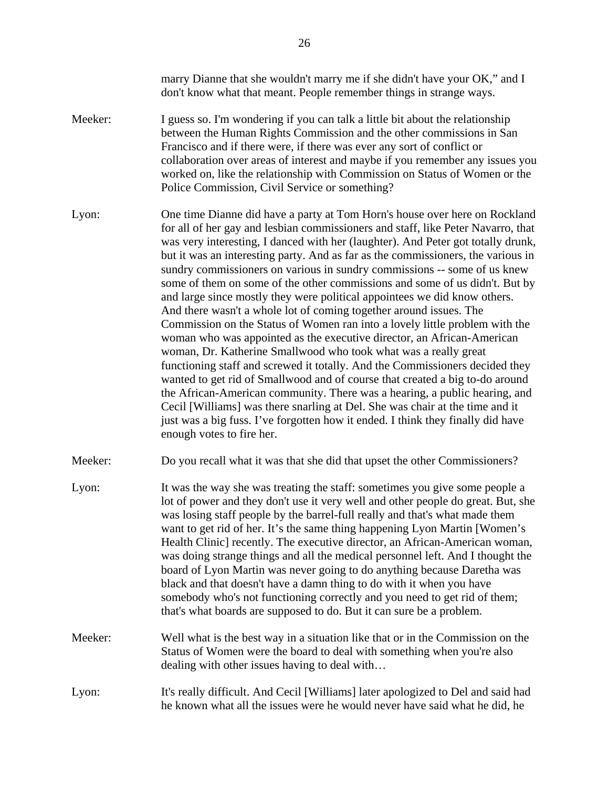|         | marry Dianne that she wouldn't marry me if she didn't have your OK," and I<br>don't know what that meant. People remember things in strange ways.                                                                                                                                                                                                                                                                                                                                                                                                                                                                                                                                                                                                                                                                                                                                                                                                                                                                                                                                                                                                                                                                                                                                                                              |
|---------|--------------------------------------------------------------------------------------------------------------------------------------------------------------------------------------------------------------------------------------------------------------------------------------------------------------------------------------------------------------------------------------------------------------------------------------------------------------------------------------------------------------------------------------------------------------------------------------------------------------------------------------------------------------------------------------------------------------------------------------------------------------------------------------------------------------------------------------------------------------------------------------------------------------------------------------------------------------------------------------------------------------------------------------------------------------------------------------------------------------------------------------------------------------------------------------------------------------------------------------------------------------------------------------------------------------------------------|
| Meeker: | I guess so. I'm wondering if you can talk a little bit about the relationship<br>between the Human Rights Commission and the other commissions in San<br>Francisco and if there were, if there was ever any sort of conflict or<br>collaboration over areas of interest and maybe if you remember any issues you<br>worked on, like the relationship with Commission on Status of Women or the<br>Police Commission, Civil Service or something?                                                                                                                                                                                                                                                                                                                                                                                                                                                                                                                                                                                                                                                                                                                                                                                                                                                                               |
| Lyon:   | One time Dianne did have a party at Tom Horn's house over here on Rockland<br>for all of her gay and lesbian commissioners and staff, like Peter Navarro, that<br>was very interesting, I danced with her (laughter). And Peter got totally drunk,<br>but it was an interesting party. And as far as the commissioners, the various in<br>sundry commissioners on various in sundry commissions -- some of us knew<br>some of them on some of the other commissions and some of us didn't. But by<br>and large since mostly they were political appointees we did know others.<br>And there wasn't a whole lot of coming together around issues. The<br>Commission on the Status of Women ran into a lovely little problem with the<br>woman who was appointed as the executive director, an African-American<br>woman, Dr. Katherine Smallwood who took what was a really great<br>functioning staff and screwed it totally. And the Commissioners decided they<br>wanted to get rid of Smallwood and of course that created a big to-do around<br>the African-American community. There was a hearing, a public hearing, and<br>Cecil [Williams] was there snarling at Del. She was chair at the time and it<br>just was a big fuss. I've forgotten how it ended. I think they finally did have<br>enough votes to fire her. |
| Meeker: | Do you recall what it was that she did that upset the other Commissioners?                                                                                                                                                                                                                                                                                                                                                                                                                                                                                                                                                                                                                                                                                                                                                                                                                                                                                                                                                                                                                                                                                                                                                                                                                                                     |
| Lyon:   | It was the way she was treating the staff: sometimes you give some people a<br>lot of power and they don't use it very well and other people do great. But, she<br>was losing staff people by the barrel-full really and that's what made them<br>want to get rid of her. It's the same thing happening Lyon Martin [Women's<br>Health Clinic] recently. The executive director, an African-American woman,<br>was doing strange things and all the medical personnel left. And I thought the<br>board of Lyon Martin was never going to do anything because Daretha was<br>black and that doesn't have a damn thing to do with it when you have<br>somebody who's not functioning correctly and you need to get rid of them;<br>that's what boards are supposed to do. But it can sure be a problem.                                                                                                                                                                                                                                                                                                                                                                                                                                                                                                                          |
| Meeker: | Well what is the best way in a situation like that or in the Commission on the<br>Status of Women were the board to deal with something when you're also<br>dealing with other issues having to deal with                                                                                                                                                                                                                                                                                                                                                                                                                                                                                                                                                                                                                                                                                                                                                                                                                                                                                                                                                                                                                                                                                                                      |
| Lyon:   | It's really difficult. And Cecil [Williams] later apologized to Del and said had<br>he known what all the issues were he would never have said what he did, he                                                                                                                                                                                                                                                                                                                                                                                                                                                                                                                                                                                                                                                                                                                                                                                                                                                                                                                                                                                                                                                                                                                                                                 |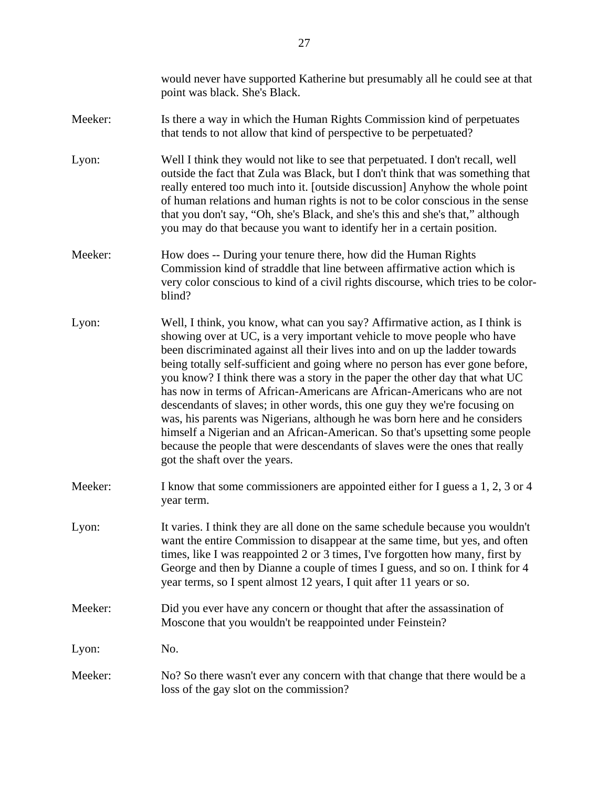|         | would never have supported Katherine but presumably all he could see at that<br>point was black. She's Black.                                                                                                                                                                                                                                                                                                                                                                                                                                                                                                                                                                                                                                                                                                                                  |
|---------|------------------------------------------------------------------------------------------------------------------------------------------------------------------------------------------------------------------------------------------------------------------------------------------------------------------------------------------------------------------------------------------------------------------------------------------------------------------------------------------------------------------------------------------------------------------------------------------------------------------------------------------------------------------------------------------------------------------------------------------------------------------------------------------------------------------------------------------------|
| Meeker: | Is there a way in which the Human Rights Commission kind of perpetuates<br>that tends to not allow that kind of perspective to be perpetuated?                                                                                                                                                                                                                                                                                                                                                                                                                                                                                                                                                                                                                                                                                                 |
| Lyon:   | Well I think they would not like to see that perpetuated. I don't recall, well<br>outside the fact that Zula was Black, but I don't think that was something that<br>really entered too much into it. [outside discussion] Anyhow the whole point<br>of human relations and human rights is not to be color conscious in the sense<br>that you don't say, "Oh, she's Black, and she's this and she's that," although<br>you may do that because you want to identify her in a certain position.                                                                                                                                                                                                                                                                                                                                                |
| Meeker: | How does -- During your tenure there, how did the Human Rights<br>Commission kind of straddle that line between affirmative action which is<br>very color conscious to kind of a civil rights discourse, which tries to be color-<br>blind?                                                                                                                                                                                                                                                                                                                                                                                                                                                                                                                                                                                                    |
| Lyon:   | Well, I think, you know, what can you say? Affirmative action, as I think is<br>showing over at UC, is a very important vehicle to move people who have<br>been discriminated against all their lives into and on up the ladder towards<br>being totally self-sufficient and going where no person has ever gone before,<br>you know? I think there was a story in the paper the other day that what UC<br>has now in terms of African-Americans are African-Americans who are not<br>descendants of slaves; in other words, this one guy they we're focusing on<br>was, his parents was Nigerians, although he was born here and he considers<br>himself a Nigerian and an African-American. So that's upsetting some people<br>because the people that were descendants of slaves were the ones that really<br>got the shaft over the years. |
| Meeker: | I know that some commissioners are appointed either for I guess a 1, 2, 3 or 4<br>year term.                                                                                                                                                                                                                                                                                                                                                                                                                                                                                                                                                                                                                                                                                                                                                   |
| Lyon:   | It varies. I think they are all done on the same schedule because you wouldn't<br>want the entire Commission to disappear at the same time, but yes, and often<br>times, like I was reappointed 2 or 3 times, I've forgotten how many, first by<br>George and then by Dianne a couple of times I guess, and so on. I think for 4<br>year terms, so I spent almost 12 years, I quit after 11 years or so.                                                                                                                                                                                                                                                                                                                                                                                                                                       |
| Meeker: | Did you ever have any concern or thought that after the assassination of<br>Moscone that you wouldn't be reappointed under Feinstein?                                                                                                                                                                                                                                                                                                                                                                                                                                                                                                                                                                                                                                                                                                          |
| Lyon:   | No.                                                                                                                                                                                                                                                                                                                                                                                                                                                                                                                                                                                                                                                                                                                                                                                                                                            |
| Meeker: | No? So there wasn't ever any concern with that change that there would be a<br>loss of the gay slot on the commission?                                                                                                                                                                                                                                                                                                                                                                                                                                                                                                                                                                                                                                                                                                                         |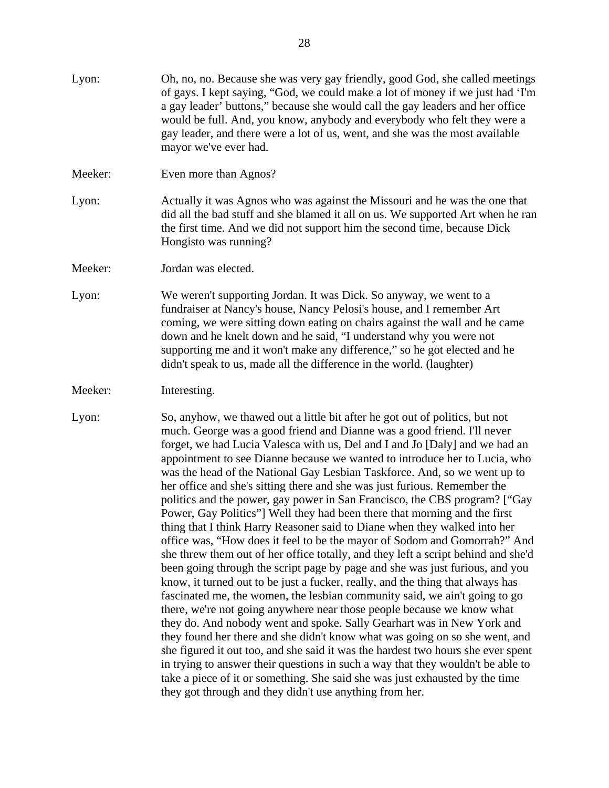| Lyon:   | Oh, no, no. Because she was very gay friendly, good God, she called meetings<br>of gays. I kept saying, "God, we could make a lot of money if we just had 'I'm<br>a gay leader' buttons," because she would call the gay leaders and her office<br>would be full. And, you know, anybody and everybody who felt they were a<br>gay leader, and there were a lot of us, went, and she was the most available<br>mayor we've ever had.                                                                                                                                                                                                                                                                                                                                                                                                                                                                                                                                                                                                                                                                                                                                                                                                                                                                                                                                                                                                                                                                                                                                                                                                                                                          |
|---------|-----------------------------------------------------------------------------------------------------------------------------------------------------------------------------------------------------------------------------------------------------------------------------------------------------------------------------------------------------------------------------------------------------------------------------------------------------------------------------------------------------------------------------------------------------------------------------------------------------------------------------------------------------------------------------------------------------------------------------------------------------------------------------------------------------------------------------------------------------------------------------------------------------------------------------------------------------------------------------------------------------------------------------------------------------------------------------------------------------------------------------------------------------------------------------------------------------------------------------------------------------------------------------------------------------------------------------------------------------------------------------------------------------------------------------------------------------------------------------------------------------------------------------------------------------------------------------------------------------------------------------------------------------------------------------------------------|
| Meeker: | Even more than Agnos?                                                                                                                                                                                                                                                                                                                                                                                                                                                                                                                                                                                                                                                                                                                                                                                                                                                                                                                                                                                                                                                                                                                                                                                                                                                                                                                                                                                                                                                                                                                                                                                                                                                                         |
| Lyon:   | Actually it was Agnos who was against the Missouri and he was the one that<br>did all the bad stuff and she blamed it all on us. We supported Art when he ran<br>the first time. And we did not support him the second time, because Dick<br>Hongisto was running?                                                                                                                                                                                                                                                                                                                                                                                                                                                                                                                                                                                                                                                                                                                                                                                                                                                                                                                                                                                                                                                                                                                                                                                                                                                                                                                                                                                                                            |
| Meeker: | Jordan was elected.                                                                                                                                                                                                                                                                                                                                                                                                                                                                                                                                                                                                                                                                                                                                                                                                                                                                                                                                                                                                                                                                                                                                                                                                                                                                                                                                                                                                                                                                                                                                                                                                                                                                           |
| Lyon:   | We weren't supporting Jordan. It was Dick. So anyway, we went to a<br>fundraiser at Nancy's house, Nancy Pelosi's house, and I remember Art<br>coming, we were sitting down eating on chairs against the wall and he came<br>down and he knelt down and he said, "I understand why you were not<br>supporting me and it won't make any difference," so he got elected and he<br>didn't speak to us, made all the difference in the world. (laughter)                                                                                                                                                                                                                                                                                                                                                                                                                                                                                                                                                                                                                                                                                                                                                                                                                                                                                                                                                                                                                                                                                                                                                                                                                                          |
| Meeker: | Interesting.                                                                                                                                                                                                                                                                                                                                                                                                                                                                                                                                                                                                                                                                                                                                                                                                                                                                                                                                                                                                                                                                                                                                                                                                                                                                                                                                                                                                                                                                                                                                                                                                                                                                                  |
| Lyon:   | So, anyhow, we thawed out a little bit after he got out of politics, but not<br>much. George was a good friend and Dianne was a good friend. I'll never<br>forget, we had Lucia Valesca with us, Del and I and Jo [Daly] and we had an<br>appointment to see Dianne because we wanted to introduce her to Lucia, who<br>was the head of the National Gay Lesbian Taskforce. And, so we went up to<br>her office and she's sitting there and she was just furious. Remember the<br>politics and the power, gay power in San Francisco, the CBS program? ["Gay<br>Power, Gay Politics"] Well they had been there that morning and the first<br>thing that I think Harry Reasoner said to Diane when they walked into her<br>office was, "How does it feel to be the mayor of Sodom and Gomorrah?" And<br>she threw them out of her office totally, and they left a script behind and she'd<br>been going through the script page by page and she was just furious, and you<br>know, it turned out to be just a fucker, really, and the thing that always has<br>fascinated me, the women, the lesbian community said, we ain't going to go<br>there, we're not going anywhere near those people because we know what<br>they do. And nobody went and spoke. Sally Gearhart was in New York and<br>they found her there and she didn't know what was going on so she went, and<br>she figured it out too, and she said it was the hardest two hours she ever spent<br>in trying to answer their questions in such a way that they wouldn't be able to<br>take a piece of it or something. She said she was just exhausted by the time<br>they got through and they didn't use anything from her. |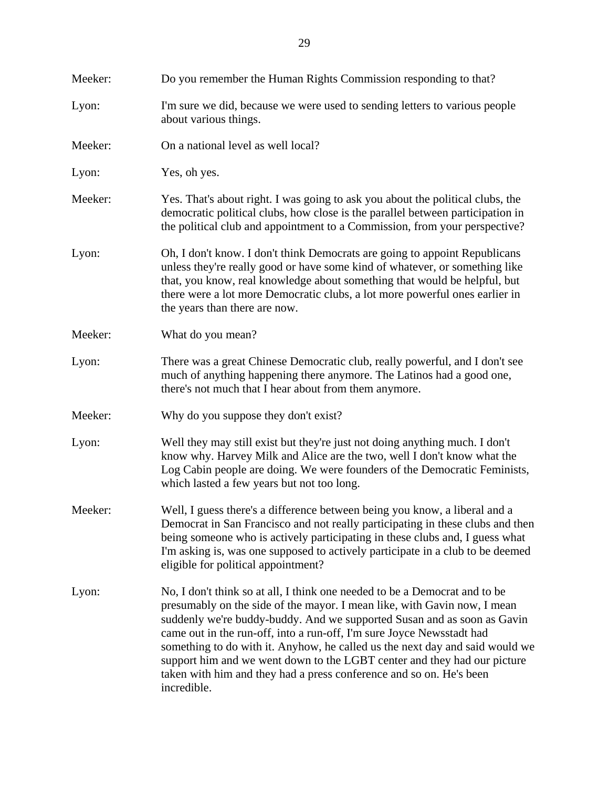| Meeker: | Do you remember the Human Rights Commission responding to that?                                                                                                                                                                                                                                                                                                                                                                                                                                                                                              |
|---------|--------------------------------------------------------------------------------------------------------------------------------------------------------------------------------------------------------------------------------------------------------------------------------------------------------------------------------------------------------------------------------------------------------------------------------------------------------------------------------------------------------------------------------------------------------------|
| Lyon:   | I'm sure we did, because we were used to sending letters to various people<br>about various things.                                                                                                                                                                                                                                                                                                                                                                                                                                                          |
| Meeker: | On a national level as well local?                                                                                                                                                                                                                                                                                                                                                                                                                                                                                                                           |
| Lyon:   | Yes, oh yes.                                                                                                                                                                                                                                                                                                                                                                                                                                                                                                                                                 |
| Meeker: | Yes. That's about right. I was going to ask you about the political clubs, the<br>democratic political clubs, how close is the parallel between participation in<br>the political club and appointment to a Commission, from your perspective?                                                                                                                                                                                                                                                                                                               |
| Lyon:   | Oh, I don't know. I don't think Democrats are going to appoint Republicans<br>unless they're really good or have some kind of whatever, or something like<br>that, you know, real knowledge about something that would be helpful, but<br>there were a lot more Democratic clubs, a lot more powerful ones earlier in<br>the years than there are now.                                                                                                                                                                                                       |
| Meeker: | What do you mean?                                                                                                                                                                                                                                                                                                                                                                                                                                                                                                                                            |
| Lyon:   | There was a great Chinese Democratic club, really powerful, and I don't see<br>much of anything happening there anymore. The Latinos had a good one,<br>there's not much that I hear about from them anymore.                                                                                                                                                                                                                                                                                                                                                |
| Meeker: | Why do you suppose they don't exist?                                                                                                                                                                                                                                                                                                                                                                                                                                                                                                                         |
| Lyon:   | Well they may still exist but they're just not doing anything much. I don't<br>know why. Harvey Milk and Alice are the two, well I don't know what the<br>Log Cabin people are doing. We were founders of the Democratic Feminists,<br>which lasted a few years but not too long.                                                                                                                                                                                                                                                                            |
| Meeker: | Well, I guess there's a difference between being you know, a liberal and a<br>Democrat in San Francisco and not really participating in these clubs and then<br>being someone who is actively participating in these clubs and, I guess what<br>I'm asking is, was one supposed to actively participate in a club to be deemed<br>eligible for political appointment?                                                                                                                                                                                        |
| Lyon:   | No, I don't think so at all, I think one needed to be a Democrat and to be<br>presumably on the side of the mayor. I mean like, with Gavin now, I mean<br>suddenly we're buddy-buddy. And we supported Susan and as soon as Gavin<br>came out in the run-off, into a run-off, I'm sure Joyce Newsstadt had<br>something to do with it. Anyhow, he called us the next day and said would we<br>support him and we went down to the LGBT center and they had our picture<br>taken with him and they had a press conference and so on. He's been<br>incredible. |